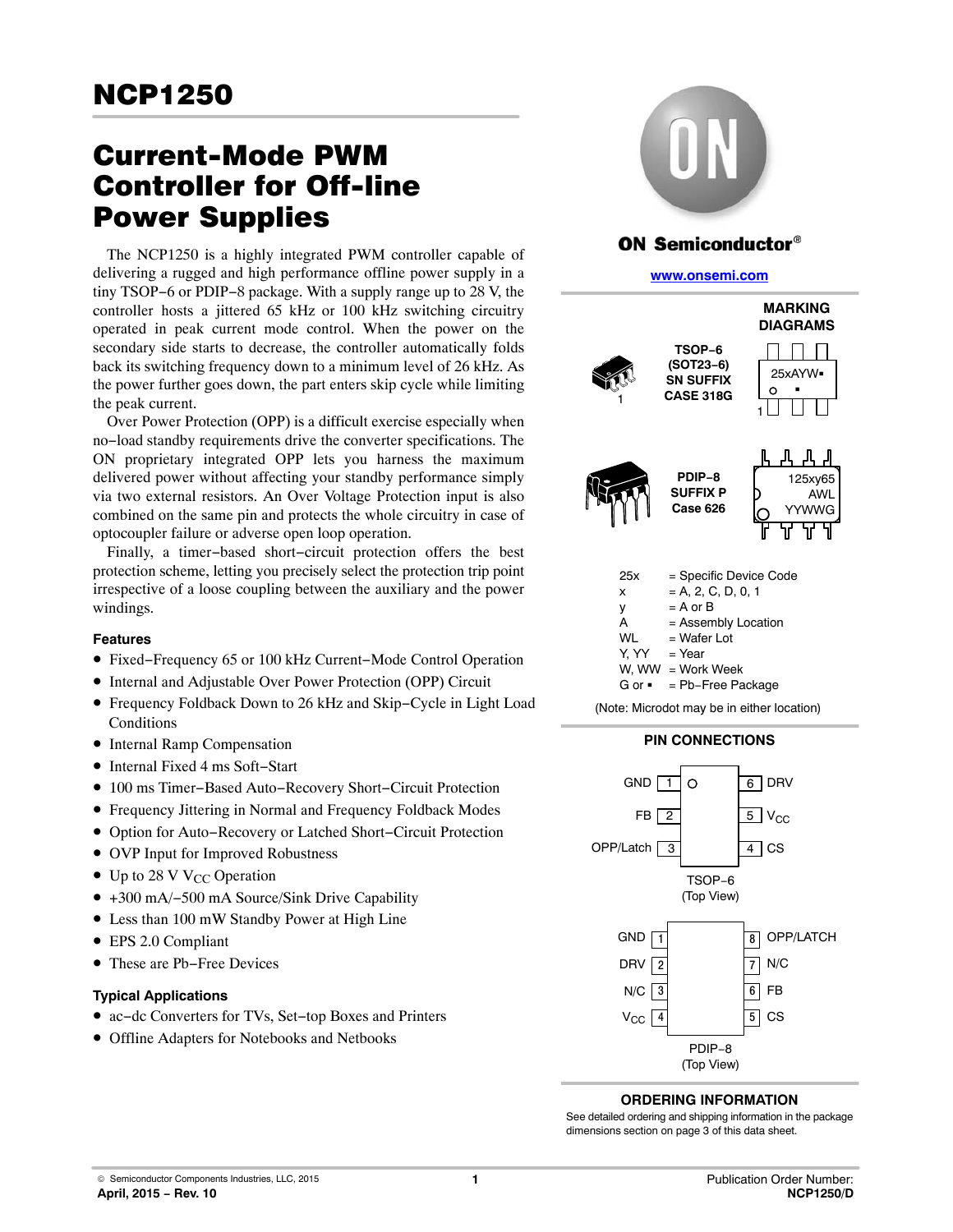# Current-Mode PWM Controller for Off-line Power Supplies

The NCP1250 is a highly integrated PWM controller capable of delivering a rugged and high performance offline power supply in a tiny TSOP−6 or PDIP−8 package. With a supply range up to 28 V, the controller hosts a jittered 65 kHz or 100 kHz switching circuitry operated in peak current mode control. When the power on the secondary side starts to decrease, the controller automatically folds back its switching frequency down to a minimum level of 26 kHz. As the power further goes down, the part enters skip cycle while limiting the peak current.

Over Power Protection (OPP) is a difficult exercise especially when no−load standby requirements drive the converter specifications. The ON proprietary integrated OPP lets you harness the maximum delivered power without affecting your standby performance simply via two external resistors. An Over Voltage Protection input is also combined on the same pin and protects the whole circuitry in case of optocoupler failure or adverse open loop operation.

Finally, a timer−based short−circuit protection offers the best protection scheme, letting you precisely select the protection trip point irrespective of a loose coupling between the auxiliary and the power windings.

### **Features**

- Fixed−Frequency 65 or 100 kHz Current−Mode Control Operation
- Internal and Adjustable Over Power Protection (OPP) Circuit
- Frequency Foldback Down to 26 kHz and Skip−Cycle in Light Load **Conditions**
- Internal Ramp Compensation
- Internal Fixed 4 ms Soft−Start
- 100 ms Timer−Based Auto−Recovery Short−Circuit Protection
- Frequency Jittering in Normal and Frequency Foldback Modes
- Option for Auto−Recovery or Latched Short−Circuit Protection
- OVP Input for Improved Robustness
- Up to 28 V V<sub>CC</sub> Operation
- +300 mA/−500 mA Source/Sink Drive Capability
- Less than 100 mW Standby Power at High Line
- EPS 2.0 Compliant
- These are Pb−Free Devices

### **Typical Applications**

- ac−dc Converters for TVs, Set−top Boxes and Printers
- Offline Adapters for Notebooks and Netbooks



## **ON Semiconductor®**

#### **[www.onsemi.com]( http://www.onsemi.com/)**





### **ORDERING INFORMATION**

See detailed ordering and shipping information in the package dimensions section on page [3](#page-2-0) of this data sheet.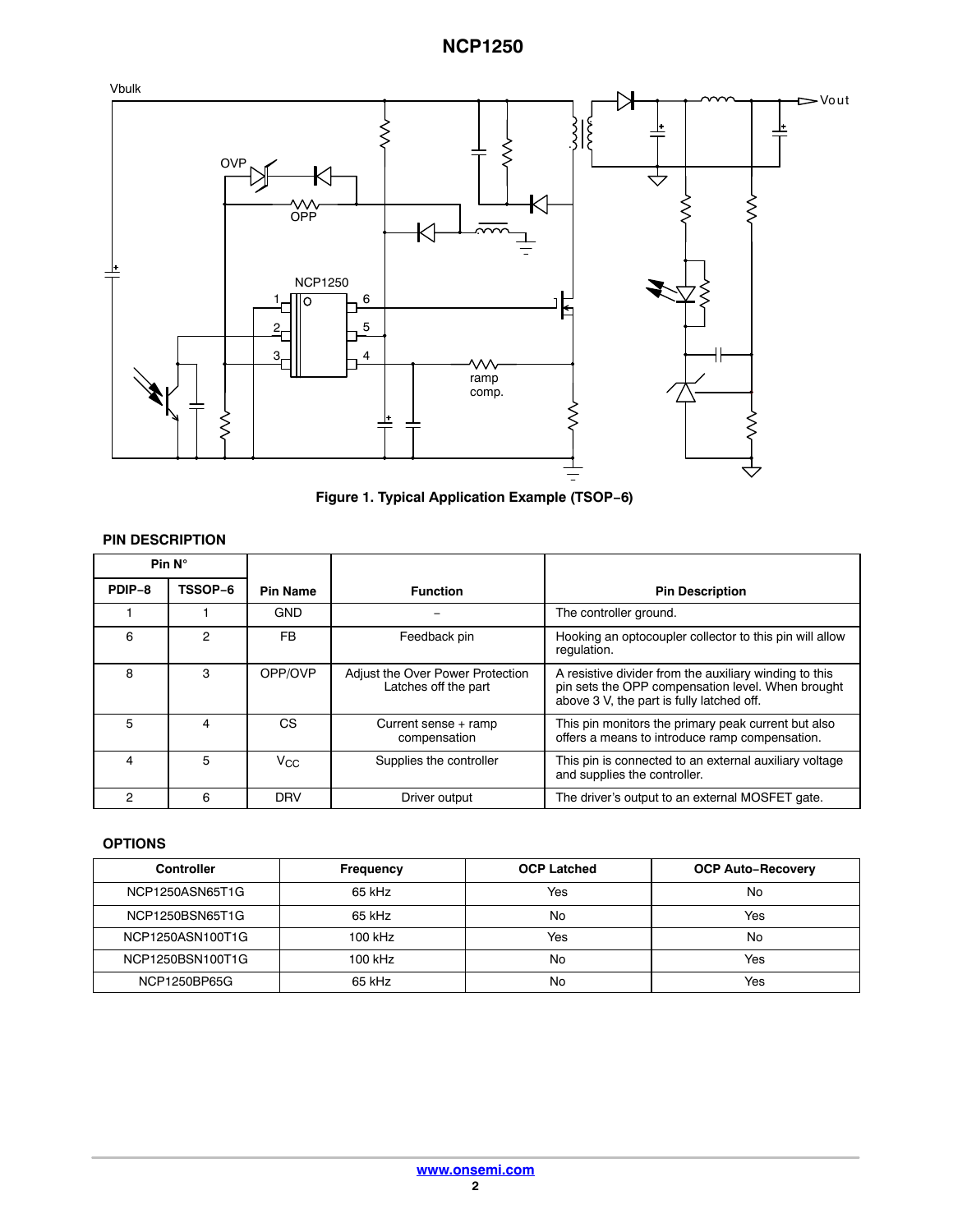

**Figure 1. Typical Application Example (TSOP−6)**

| <b>PIN DESCRIPTION</b> |                |                 |                                                          |                                                                                                                                                          |  |  |
|------------------------|----------------|-----------------|----------------------------------------------------------|----------------------------------------------------------------------------------------------------------------------------------------------------------|--|--|
| Pin $N^\circ$          |                |                 |                                                          |                                                                                                                                                          |  |  |
| TSSOP-6<br>PDIP-8      |                | <b>Pin Name</b> | <b>Function</b>                                          | <b>Pin Description</b>                                                                                                                                   |  |  |
|                        |                | <b>GND</b>      |                                                          | The controller ground.                                                                                                                                   |  |  |
| 6                      | $\mathfrak{p}$ | FB.             | Feedback pin                                             | Hooking an optocoupler collector to this pin will allow<br>regulation.                                                                                   |  |  |
| 8                      | 3              | OPP/OVP         | Adjust the Over Power Protection<br>Latches off the part | A resistive divider from the auxiliary winding to this<br>pin sets the OPP compensation level. When brought<br>above 3 V, the part is fully latched off. |  |  |
| 5                      | 4              | CS              | Current sense + ramp<br>compensation                     | This pin monitors the primary peak current but also<br>offers a means to introduce ramp compensation.                                                    |  |  |
| 4                      | 5              | $V_{CC}$        | Supplies the controller                                  | This pin is connected to an external auxiliary voltage<br>and supplies the controller.                                                                   |  |  |
| 2                      | 6              | <b>DRV</b>      | Driver output                                            | The driver's output to an external MOSFET gate.                                                                                                          |  |  |

### **OPTIONS**

| <b>Controller</b> | <b>Frequency</b> | <b>OCP Latched</b> | <b>OCP Auto-Recovery</b> |
|-------------------|------------------|--------------------|--------------------------|
| NCP1250ASN65T1G   | 65 kHz           | Yes                | No                       |
| NCP1250BSN65T1G   | 65 kHz           | No                 | Yes                      |
| NCP1250ASN100T1G  | 100 kHz          | Yes                | No                       |
| NCP1250BSN100T1G  | 100 kHz          | No                 | Yes                      |
| NCP1250BP65G      | 65 kHz           | No                 | Yes                      |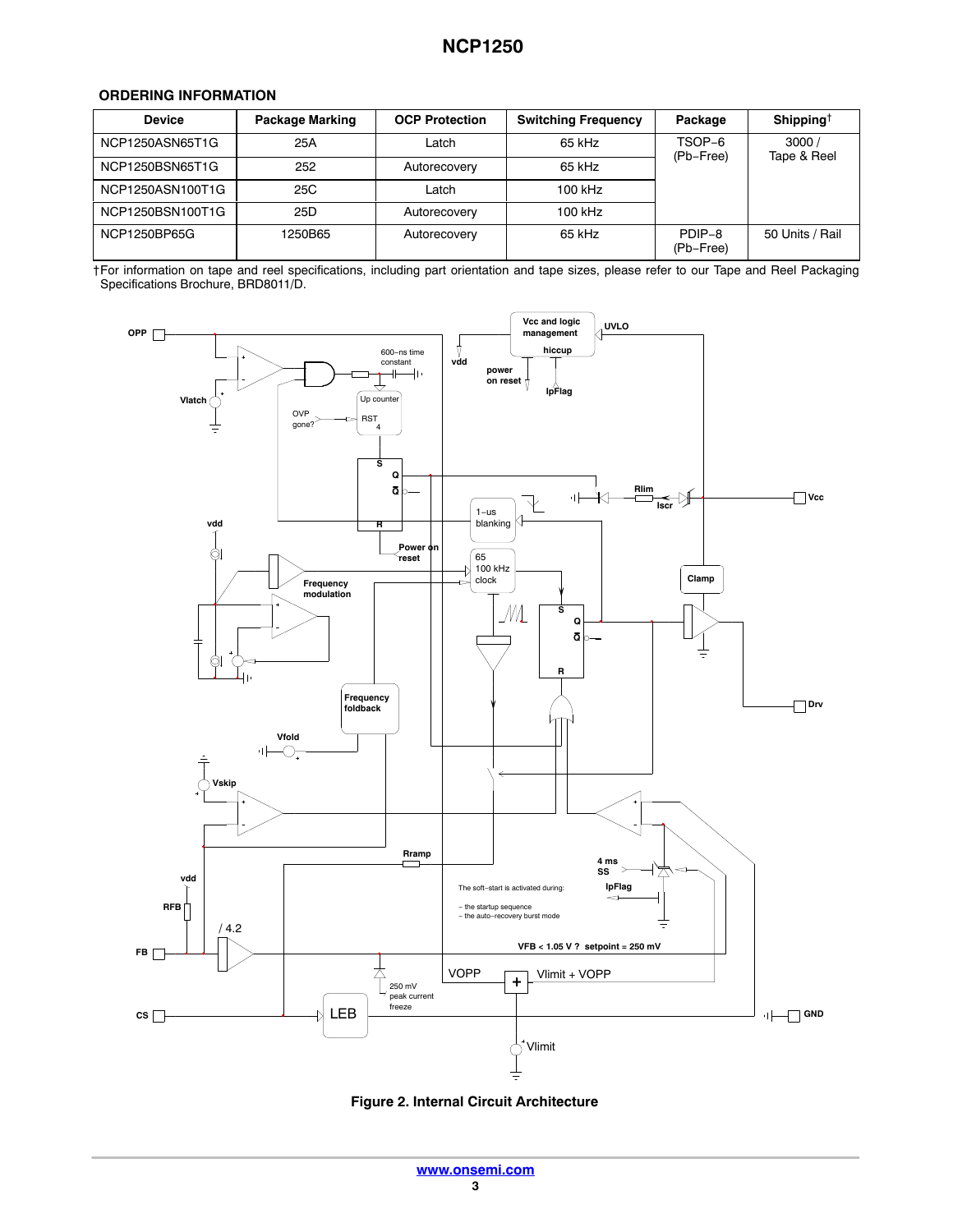### <span id="page-2-0"></span>**ORDERING INFORMATION**

| <b>Device</b>    | <b>Package Marking</b> | <b>OCP Protection</b> | <b>Switching Frequency</b> | Package             | Shipping <sup>†</sup> |
|------------------|------------------------|-----------------------|----------------------------|---------------------|-----------------------|
| NCP1250ASN65T1G  | 25A                    | Latch                 | 65 kHz                     | TSOP-6<br>(Pb-Free) | 3000/<br>Tape & Reel  |
| NCP1250BSN65T1G  | 252                    | Autorecovery          | 65 kHz                     |                     |                       |
| NCP1250ASN100T1G | 25C                    | Latch                 | 100 kHz                    |                     |                       |
| NCP1250BSN100T1G | 25D                    | Autorecovery          | 100 kHz                    |                     |                       |
| NCP1250BP65G     | 1250B65                | Autorecovery          | 65 kHz                     | PDIP-8<br>(Pb-Free) | 50 Units / Rail       |

†For information on tape and reel specifications, including part orientation and tape sizes, please refer to our Tape and Reel Packaging Specifications Brochure, BRD8011/D.



**Figure 2. Internal Circuit Architecture**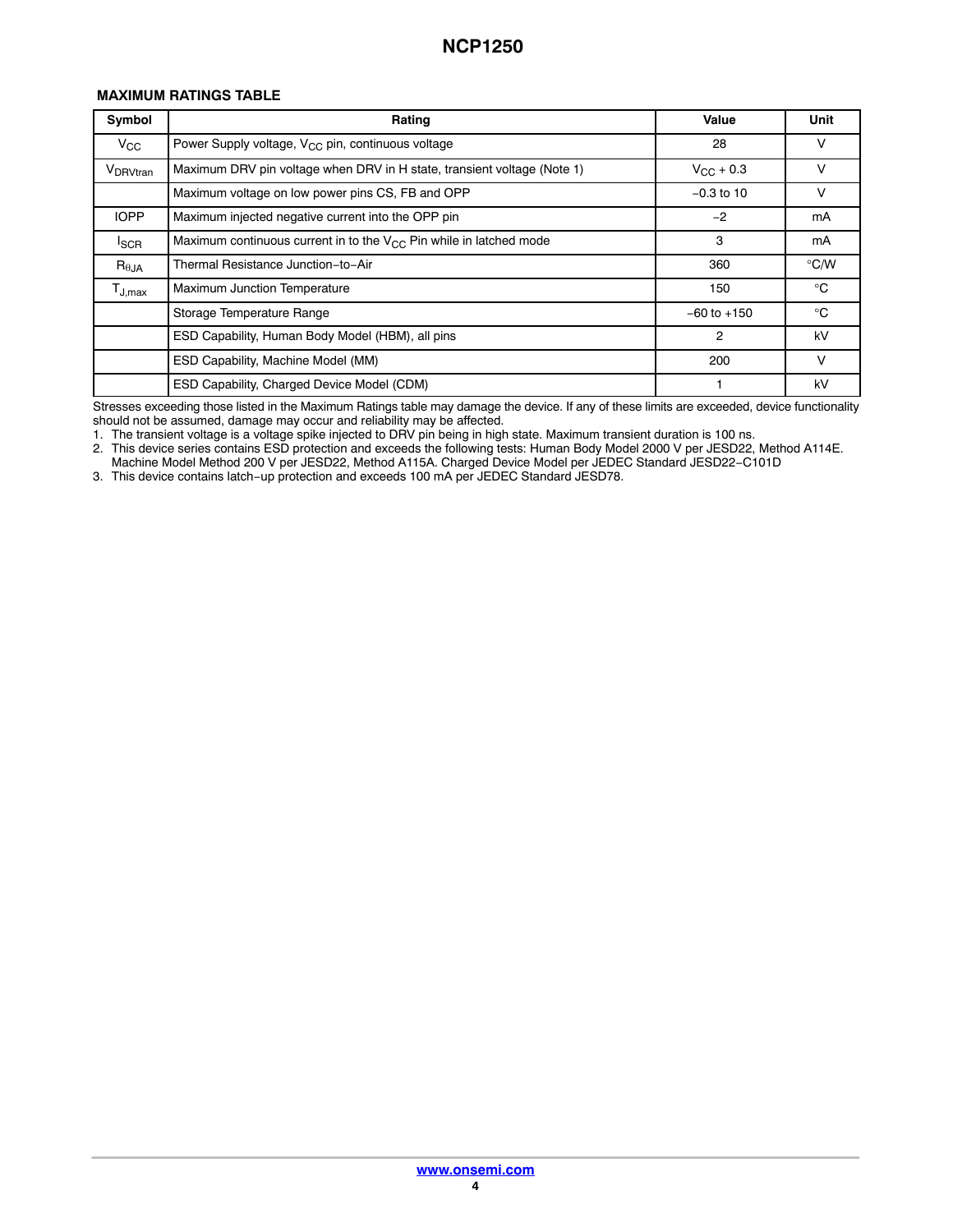### **MAXIMUM RATINGS TABLE**

| Symbol                                 | Rating                                                                  | Value              | Unit          |
|----------------------------------------|-------------------------------------------------------------------------|--------------------|---------------|
| $V_{\rm CC}$                           | Power Supply voltage, $V_{CC}$ pin, continuous voltage                  | 28                 | v             |
| V <sub>DRVtran</sub>                   | Maximum DRV pin voltage when DRV in H state, transient voltage (Note 1) | $V_{\rm CC}$ + 0.3 | v             |
|                                        | Maximum voltage on low power pins CS, FB and OPP                        | $-0.3$ to 10       | v             |
| <b>IOPP</b>                            | Maximum injected negative current into the OPP pin                      | $-2$               | mA            |
| <b>I</b> SCR                           | Maximum continuous current in to the $V_{CC}$ Pin while in latched mode | 3                  | mA            |
| $R_{\theta$ JA                         | Thermal Resistance Junction-to-Air                                      | 360                | $\degree$ C/W |
| $\mathsf{T}_{\mathsf{J},\mathsf{max}}$ | <b>Maximum Junction Temperature</b>                                     | 150                | $^{\circ}C$   |
|                                        | Storage Temperature Range                                               | $-60$ to $+150$    | $^{\circ}C$   |
|                                        | ESD Capability, Human Body Model (HBM), all pins                        | $\overline{2}$     | kV            |
|                                        | ESD Capability, Machine Model (MM)                                      | 200                | $\vee$        |
|                                        | ESD Capability, Charged Device Model (CDM)                              |                    | kV            |

Stresses exceeding those listed in the Maximum Ratings table may damage the device. If any of these limits are exceeded, device functionality should not be assumed, damage may occur and reliability may be affected.

1. The transient voltage is a voltage spike injected to DRV pin being in high state. Maximum transient duration is 100 ns.

2. This device series contains ESD protection and exceeds the following tests: Human Body Model 2000 V per JESD22, Method A114E.

Machine Model Method 200 V per JESD22, Method A115A. Charged Device Model per JEDEC Standard JESD22−C101D

3. This device contains latch−up protection and exceeds 100 mA per JEDEC Standard JESD78.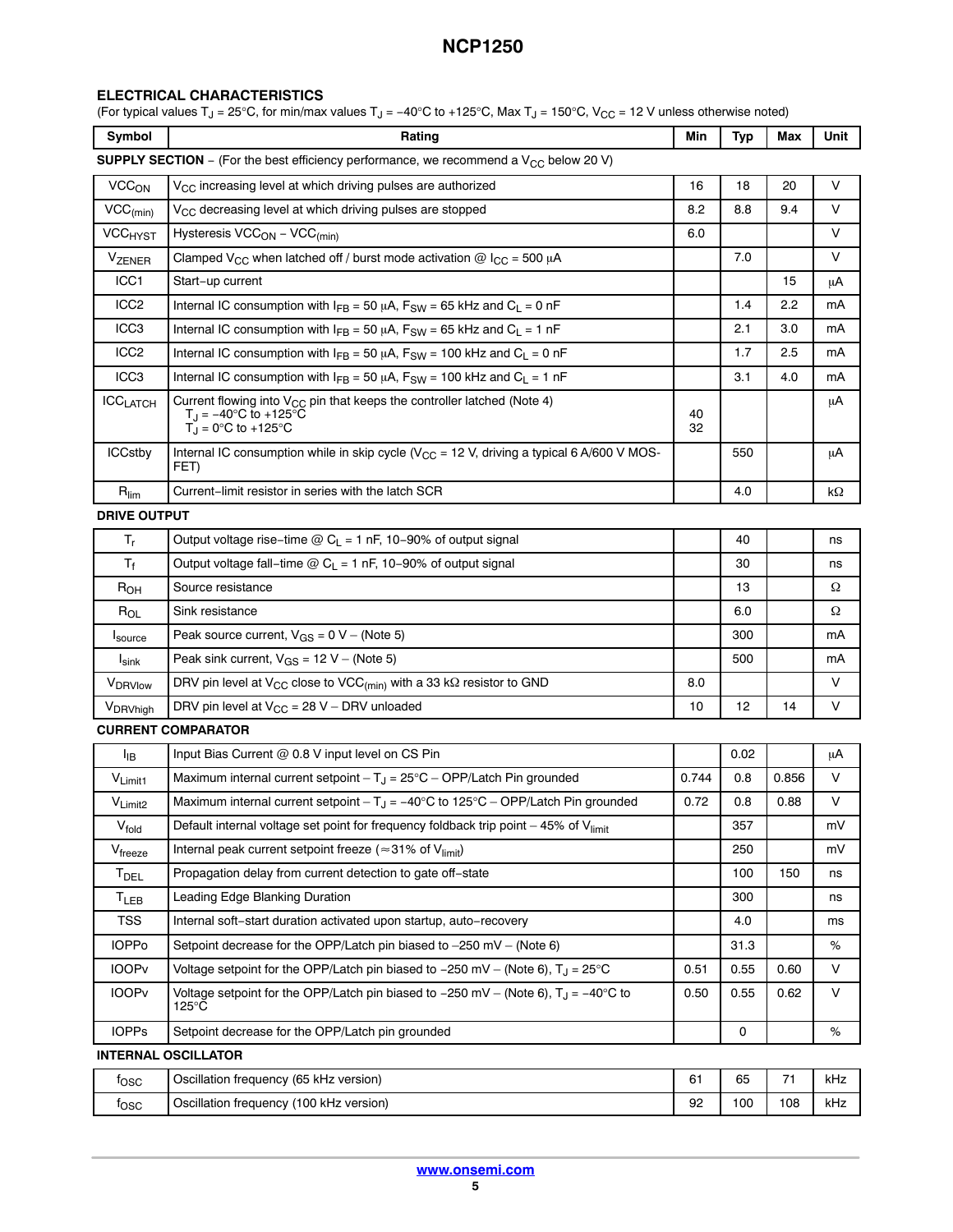### **ELECTRICAL CHARACTERISTICS**

(For typical values T<sub>J</sub> = 25°C, for min/max values T<sub>J</sub> = −40°C to +125°C, Max T<sub>J</sub> = 150°C, V<sub>CC</sub> = 12 V unless otherwise noted)

| Symbol                                                                                            | Rating                                                                                                                                                | Min      | <b>Typ</b> | Max   | Unit |  |
|---------------------------------------------------------------------------------------------------|-------------------------------------------------------------------------------------------------------------------------------------------------------|----------|------------|-------|------|--|
| <b>SUPPLY SECTION</b> – (For the best efficiency performance, we recommend a $V_{CC}$ below 20 V) |                                                                                                                                                       |          |            |       |      |  |
| <b>VCC<sub>ON</sub></b>                                                                           | V <sub>CC</sub> increasing level at which driving pulses are authorized                                                                               | 16       | 18         | 20    | V    |  |
| $VCC_{(min)}$                                                                                     | V <sub>CC</sub> decreasing level at which driving pulses are stopped                                                                                  | 8.2      | 8.8        | 9.4   | V    |  |
| <b>VCC<sub>HYST</sub></b>                                                                         | Hysteresis VCC <sub>ON</sub> - VCC <sub>(min)</sub>                                                                                                   | 6.0      |            |       | V    |  |
| VZENER                                                                                            | Clamped V <sub>CC</sub> when latched off / burst mode activation @ I <sub>CC</sub> = 500 µA                                                           |          | 7.0        |       | V    |  |
| ICC1                                                                                              | Start-up current                                                                                                                                      |          |            | 15    | μA   |  |
| ICC <sub>2</sub>                                                                                  | Internal IC consumption with $I_{FB}$ = 50 $\mu$ A, F <sub>SW</sub> = 65 kHz and C <sub>L</sub> = 0 nF                                                |          | 1.4        | 2.2   | mA   |  |
| ICC <sub>3</sub>                                                                                  | Internal IC consumption with $I_{FB} = 50 \mu A$ , $F_{SW} = 65 \text{ kHz}$ and $C_L = 1 \text{ nF}$                                                 |          | 2.1        | 3.0   | mA   |  |
| ICC <sub>2</sub>                                                                                  | Internal IC consumption with $I_{FB} = 50 \mu A$ , $F_{SW} = 100 \text{ kHz}$ and $C_L = 0 \text{ nF}$                                                |          | 1.7        | 2.5   | mA   |  |
| ICC <sub>3</sub>                                                                                  | Internal IC consumption with $I_{FB} = 50 \mu A$ , $F_{SW} = 100 \text{ kHz}$ and $C_L = 1 \text{ nF}$                                                |          | 3.1        | 4.0   | mA   |  |
| <b>ICCLATCH</b>                                                                                   | Current flowing into V <sub>CC</sub> pin that keeps the controller latched (Note 4)<br>$T_J = -40^\circ \text{C}$ to +125°C<br>$T_J = 0$ °C to +125°C | 40<br>32 |            |       | μA   |  |
| <b>ICCstby</b>                                                                                    | Internal IC consumption while in skip cycle ( $V_{CC}$ = 12 V, driving a typical 6 A/600 V MOS-<br>FET)                                               |          | 550        |       | μA   |  |
| $R_{\text{lim}}$                                                                                  | Current-limit resistor in series with the latch SCR                                                                                                   |          | 4.0        |       | kΩ   |  |
| <b>DRIVE OUTPUT</b>                                                                               |                                                                                                                                                       |          |            |       |      |  |
| $T_r$                                                                                             | Output voltage rise-time $@C_{L} = 1$ nF, 10-90% of output signal                                                                                     |          | 40         |       | ns   |  |
| $T_f$                                                                                             | Output voltage fall-time $@C_{L} = 1$ nF, 10-90% of output signal                                                                                     |          | 30         |       | ns   |  |
| R <sub>OH</sub>                                                                                   | Source resistance                                                                                                                                     |          | 13         |       | Ω    |  |
| $R_{OL}$                                                                                          | Sink resistance                                                                                                                                       |          | 6.0        |       | Ω    |  |
| Isource                                                                                           | Peak source current, $V_{GS} = 0 V - (Note 5)$                                                                                                        |          | 300        |       | mA   |  |
| $I_{\text{sink}}$                                                                                 | Peak sink current, $V_{GS} = 12 V - (Note 5)$                                                                                                         |          | 500        |       | mA   |  |
| VDRVlow                                                                                           | DRV pin level at V <sub>CC</sub> close to VCC <sub>(min)</sub> with a 33 k $\Omega$ resistor to GND                                                   | 8.0      |            |       | V    |  |
| V <sub>DRVhigh</sub>                                                                              | DRV pin level at $V_{CC}$ = 28 V - DRV unloaded                                                                                                       | 10       | 12         | 14    | V    |  |
| <b>CURRENT COMPARATOR</b>                                                                         |                                                                                                                                                       |          |            |       |      |  |
| Iв                                                                                                | Input Bias Current @ 0.8 V input level on CS Pin                                                                                                      |          | 0.02       |       | μA   |  |
| $V_{Limit1}$                                                                                      | Maximum internal current setpoint $-T_{J} = 25^{\circ}C - OPP/L$ atch Pin grounded                                                                    | 0.744    | 0.8        | 0.856 | V    |  |
| $V_{Limit2}$                                                                                      | Maximum internal current setpoint $-T_J = -40^{\circ}C$ to 125°C - OPP/Latch Pin grounded                                                             | 0.72     | 0.8        | 0.88  | V    |  |
| $V_{\mathsf{fold}}$                                                                               | Default internal voltage set point for frequency foldback trip point $-45\%$ of V $_{\text{limit}}$                                                   |          | 357        |       | mV   |  |
| $V_{\text{freeze}}$                                                                               | Internal peak current setpoint freeze ( $\approx$ 31% of V <sub>limit</sub> )                                                                         |          | 250        |       | mV   |  |
| <b>T</b> <sub>DEL</sub>                                                                           | Propagation delay from current detection to gate off-state                                                                                            |          | 100        | 150   | ns   |  |
| <b>T<sub>LEB</sub></b>                                                                            | Leading Edge Blanking Duration                                                                                                                        |          | 300        |       | ns   |  |
| TSS                                                                                               | Internal soft-start duration activated upon startup, auto-recovery                                                                                    |          | 4.0        |       | ms   |  |
| <b>IOPPo</b>                                                                                      | Setpoint decrease for the OPP/Latch pin biased to $-250$ mV $-$ (Note 6)                                                                              |          | 31.3       |       | %    |  |
| <b>IOOPv</b>                                                                                      | Voltage setpoint for the OPP/Latch pin biased to $-250$ mV – (Note 6), $T_{\rm d} = 25^{\circ}$ C                                                     | 0.51     | 0.55       | 0.60  | V    |  |
| <b>IOOPv</b>                                                                                      | Voltage setpoint for the OPP/Latch pin biased to -250 mV - (Note 6), $T_J = -40^{\circ}C$ to<br>$125^{\circ}$ C                                       | 0.50     | 0.55       | 0.62  | V    |  |
| <b>IOPPs</b>                                                                                      | Setpoint decrease for the OPP/Latch pin grounded                                                                                                      |          | 0          |       | %    |  |
|                                                                                                   | <b>INTERNAL OSCILLATOR</b>                                                                                                                            |          |            |       |      |  |
| $f_{\rm OSC}$                                                                                     | Oscillation frequency (65 kHz version)                                                                                                                | 61       | 65         | 71    | kHz  |  |
| $f_{\rm{OSC}}$                                                                                    | Oscillation frequency (100 kHz version)                                                                                                               | 92       | 100        | 108   | kHz  |  |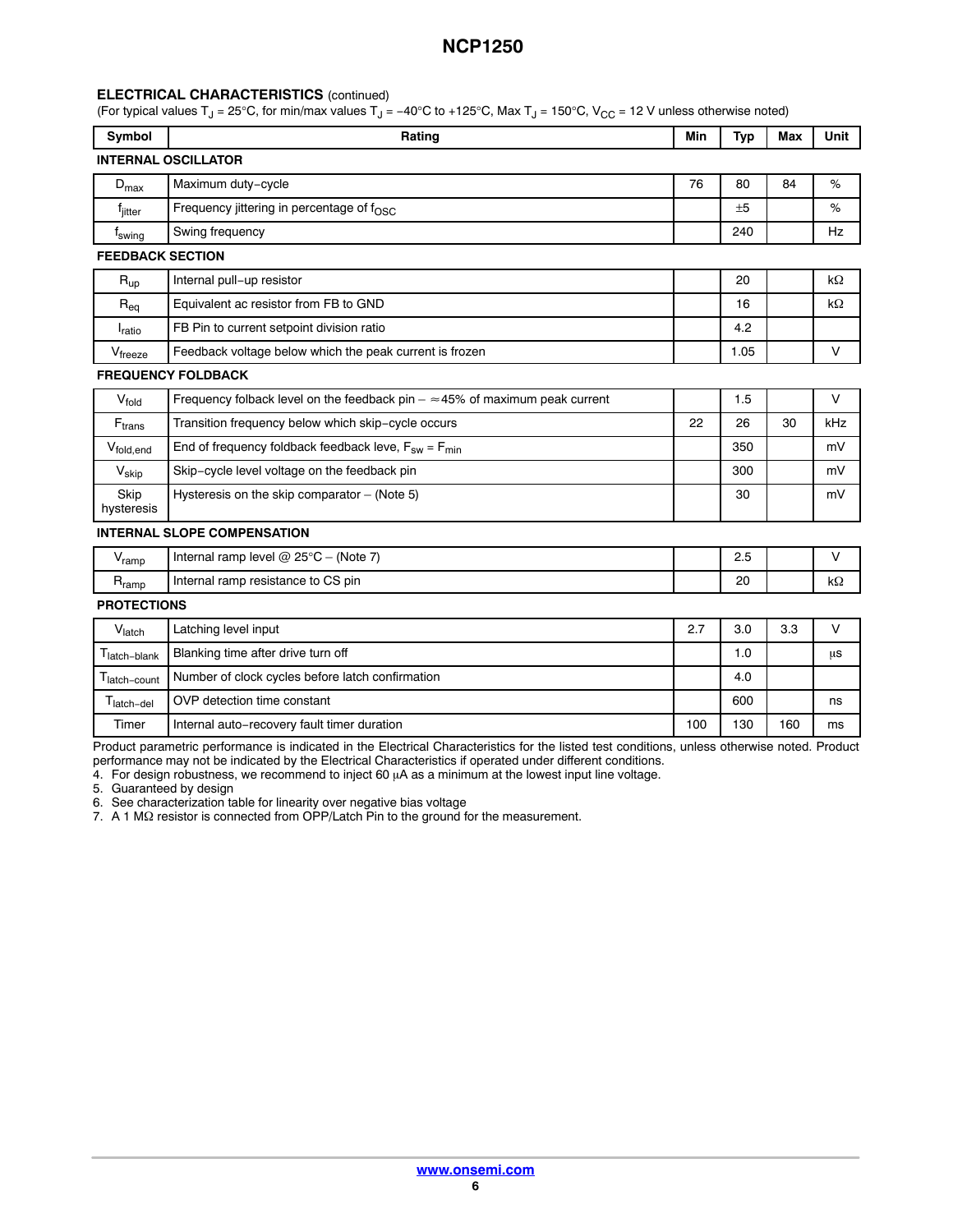#### <span id="page-5-0"></span>**ELECTRICAL CHARACTERISTICS** (continued)

(For typical values T<sub>J</sub> = 25°C, for min/max values T<sub>J</sub> = −40°C to +125°C, Max T<sub>J</sub> = 150°C, V<sub>CC</sub> = 12 V unless otherwise noted)

| <b>INTERNAL OSCILLATOR</b><br>Maximum duty-cycle<br>Frequency jittering in percentage of $f_{\rm OSC}$<br>Swing frequency | 76  | 80<br>±5 | 84  | %                                                                                                                                               |
|---------------------------------------------------------------------------------------------------------------------------|-----|----------|-----|-------------------------------------------------------------------------------------------------------------------------------------------------|
|                                                                                                                           |     |          |     |                                                                                                                                                 |
|                                                                                                                           |     |          |     |                                                                                                                                                 |
|                                                                                                                           |     |          |     | %                                                                                                                                               |
|                                                                                                                           |     | 240      |     | Hz                                                                                                                                              |
| <b>FEEDBACK SECTION</b>                                                                                                   |     |          |     |                                                                                                                                                 |
| Internal pull-up resistor                                                                                                 |     | 20       |     | $k\Omega$                                                                                                                                       |
| Equivalent ac resistor from FB to GND                                                                                     |     | 16       |     | $k\Omega$                                                                                                                                       |
| FB Pin to current setpoint division ratio                                                                                 |     | 4.2      |     |                                                                                                                                                 |
| Feedback voltage below which the peak current is frozen                                                                   |     | 1.05     |     | V                                                                                                                                               |
| <b>FREQUENCY FOLDBACK</b>                                                                                                 |     |          |     |                                                                                                                                                 |
| Frequency folback level on the feedback pin $=$ $\approx$ 45% of maximum peak current                                     |     | 1.5      |     | $\vee$                                                                                                                                          |
| Transition frequency below which skip-cycle occurs                                                                        | 22  | 26       | 30  | kHz                                                                                                                                             |
| End of frequency foldback feedback leve, $F_{sw} = F_{min}$                                                               |     | 350      |     | mV                                                                                                                                              |
| Skip-cycle level voltage on the feedback pin                                                                              |     | 300      |     | mV                                                                                                                                              |
| Hysteresis on the skip comparator - (Note 5)                                                                              |     | 30       |     | mV                                                                                                                                              |
| <b>INTERNAL SLOPE COMPENSATION</b>                                                                                        |     |          |     |                                                                                                                                                 |
| Internal ramp level $@$ 25°C - (Note 7)                                                                                   |     | 2.5      |     | $\vee$                                                                                                                                          |
| Internal ramp resistance to CS pin                                                                                        |     | 20       |     | kΩ                                                                                                                                              |
| <b>PROTECTIONS</b>                                                                                                        |     |          |     |                                                                                                                                                 |
| Latching level input                                                                                                      | 2.7 | 3.0      | 3.3 | $\vee$                                                                                                                                          |
| Blanking time after drive turn off                                                                                        |     | 1.0      |     | μs                                                                                                                                              |
| Number of clock cycles before latch confirmation                                                                          |     | 4.0      |     |                                                                                                                                                 |
| OVP detection time constant                                                                                               |     | 600      |     | ns                                                                                                                                              |
| Internal auto-recovery fault timer duration                                                                               | 100 | 130      | 160 | ms                                                                                                                                              |
|                                                                                                                           |     |          |     | Draduat perspective performance is indicated in the Electrical Characteristics for the lighed test conditions, unless athorizing pated. Draduat |

Product parametric performance is indicated in the Electrical Characteristics for the listed test conditions, unless otherwise noted. Product performance may not be indicated by the Electrical Characteristics if operated under different conditions.

4. For design robustness, we recommend to inject 60  $\mu$ A as a minimum at the lowest input line voltage.

5. Guaranteed by design

6. See characterization table for linearity over negative bias voltage

7. A 1 M $\Omega$  resistor is connected from OPP/Latch Pin to the ground for the measurement.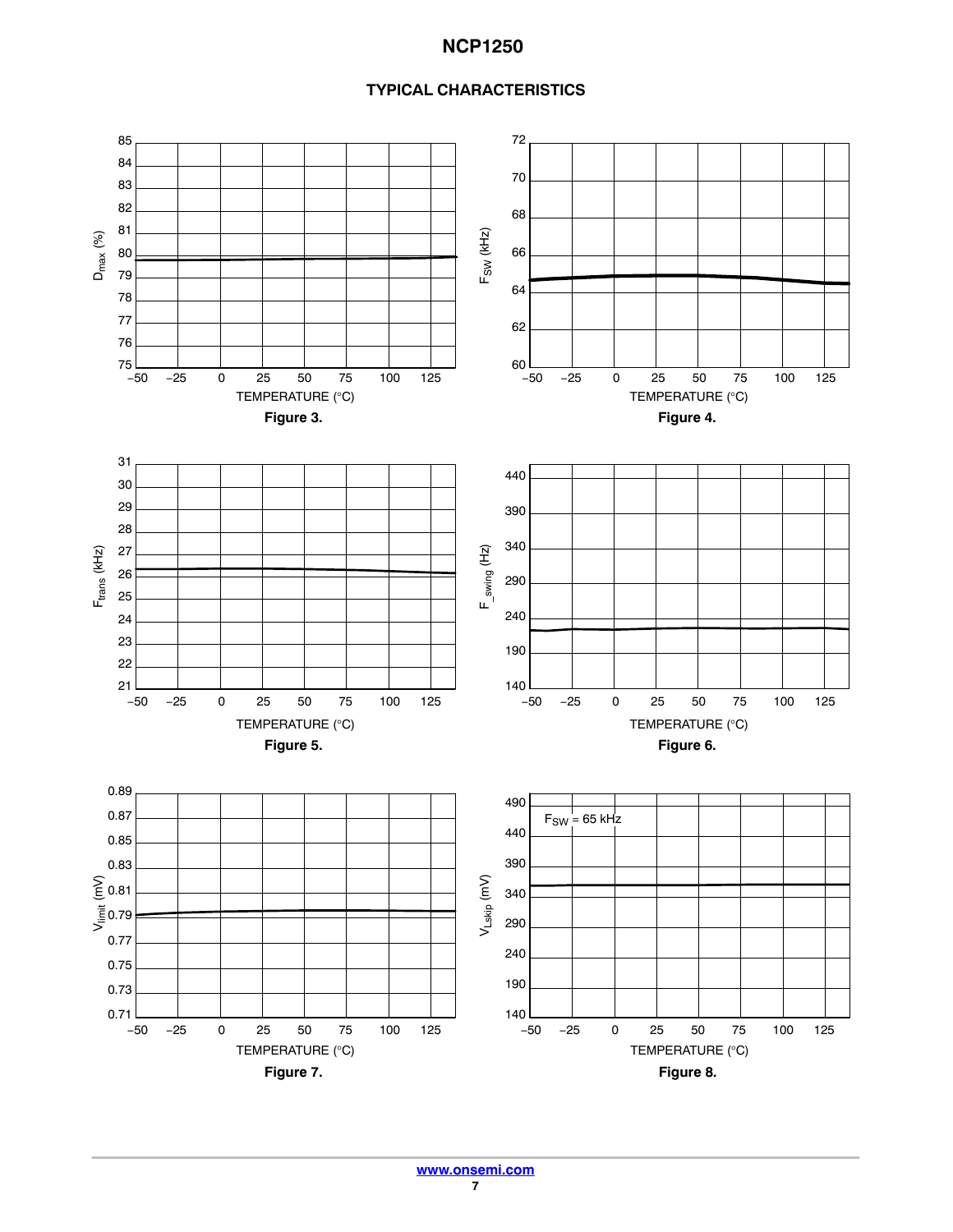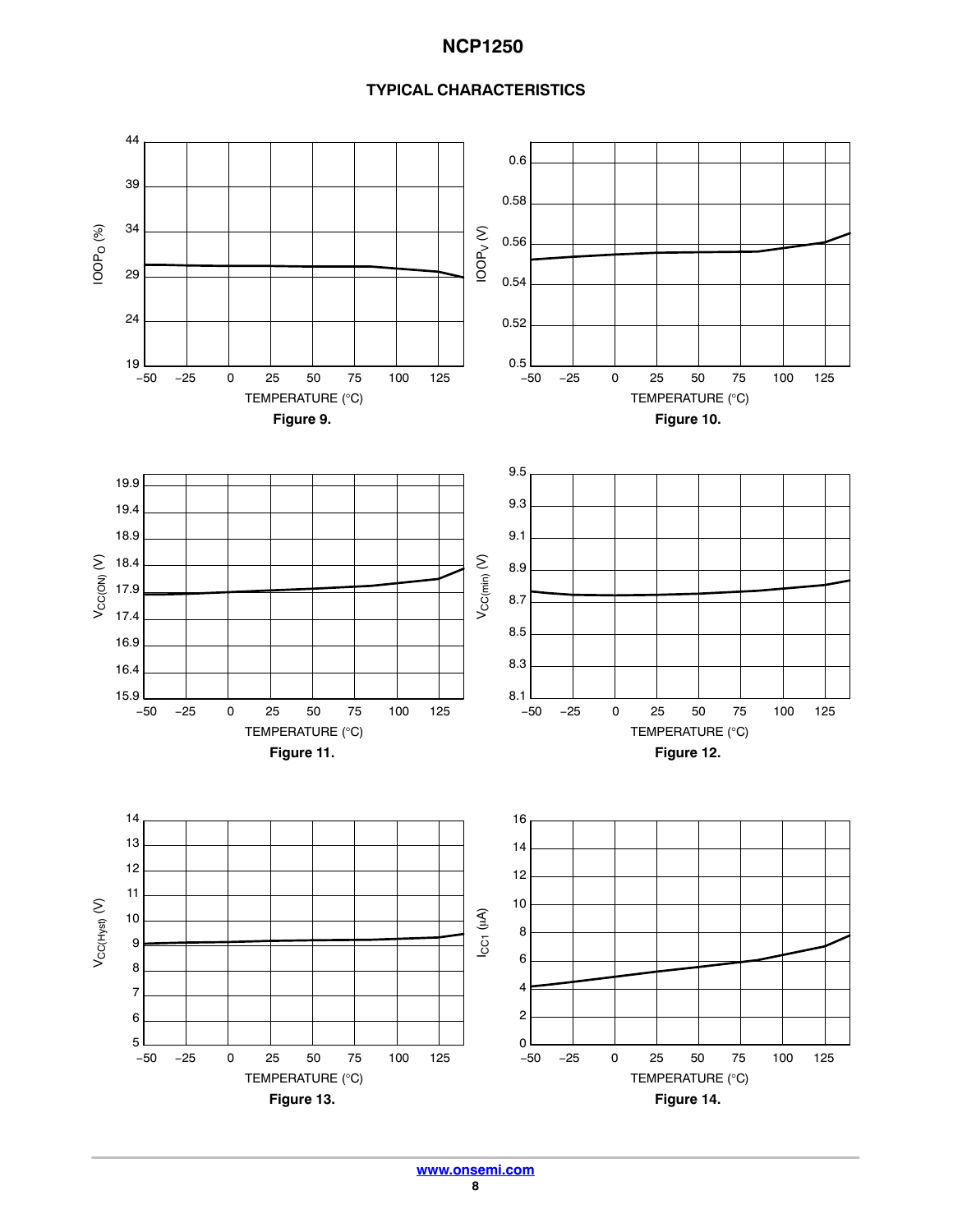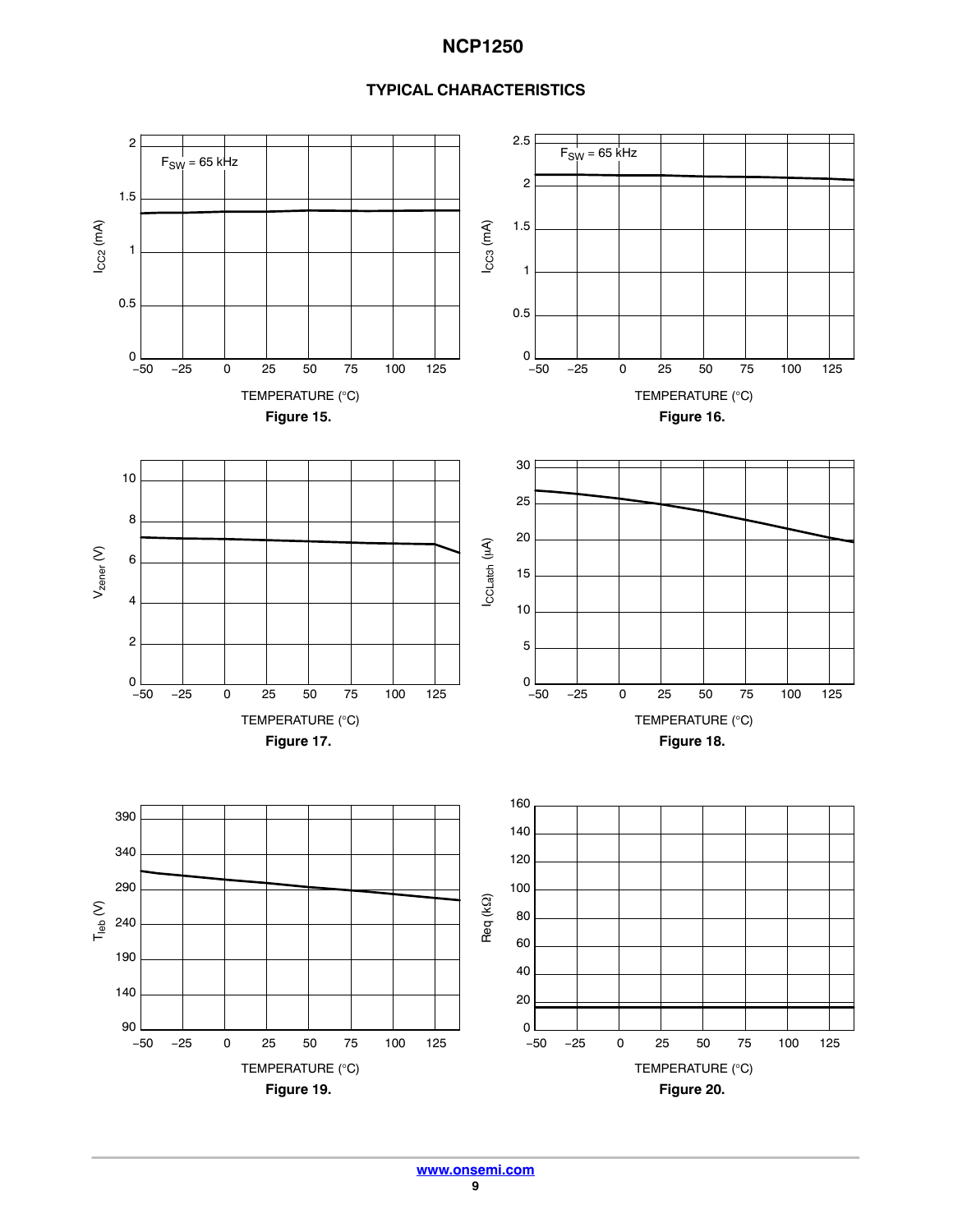

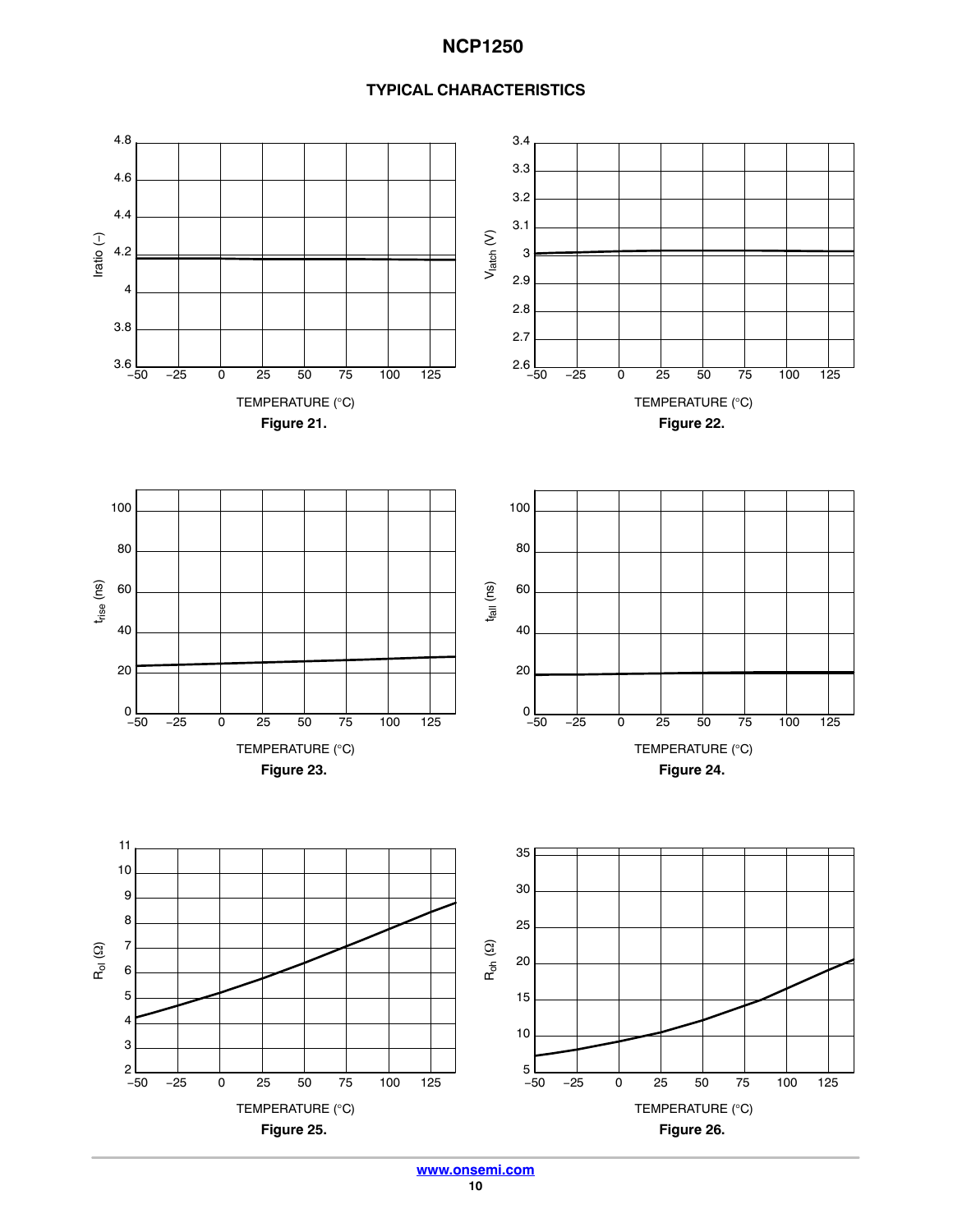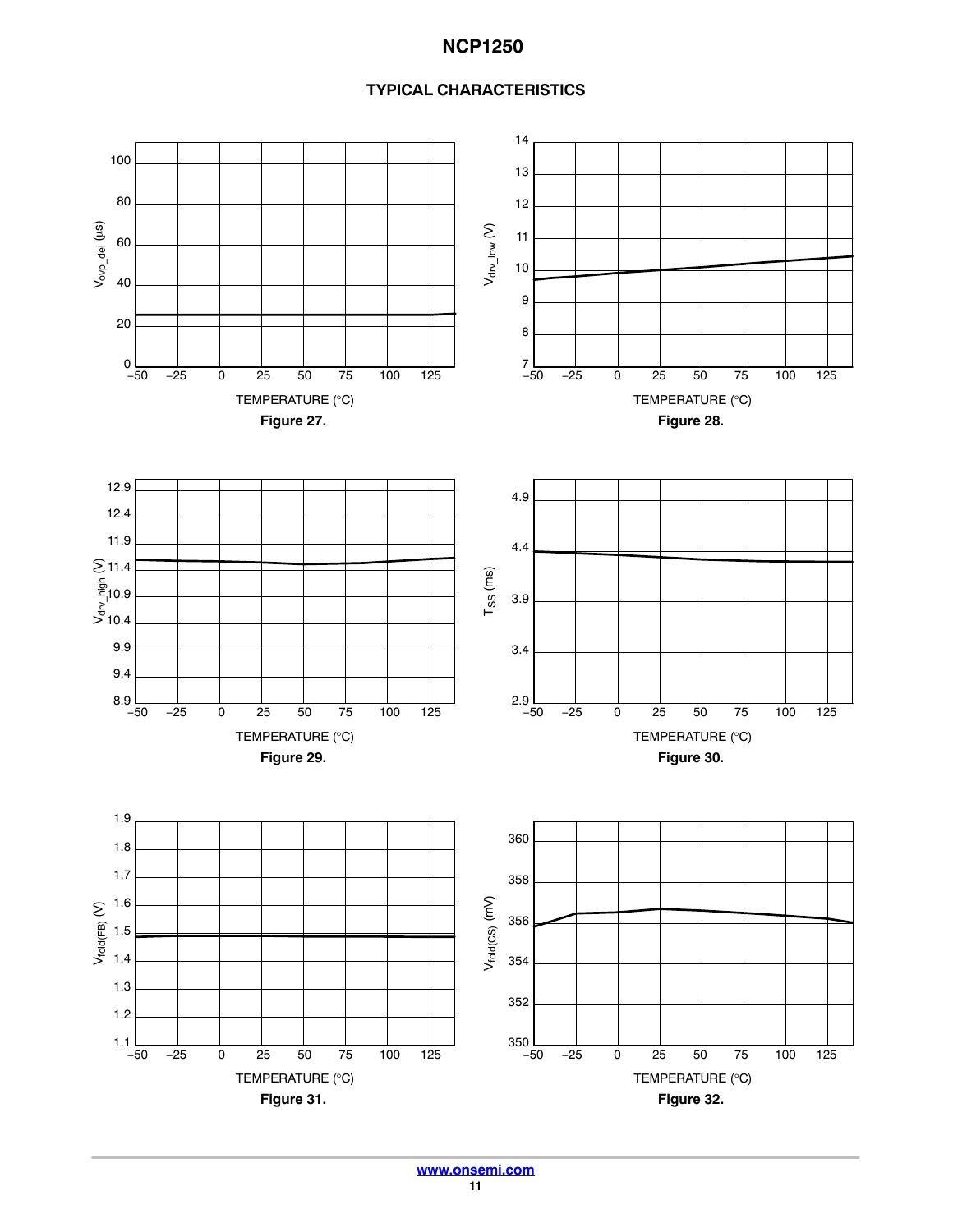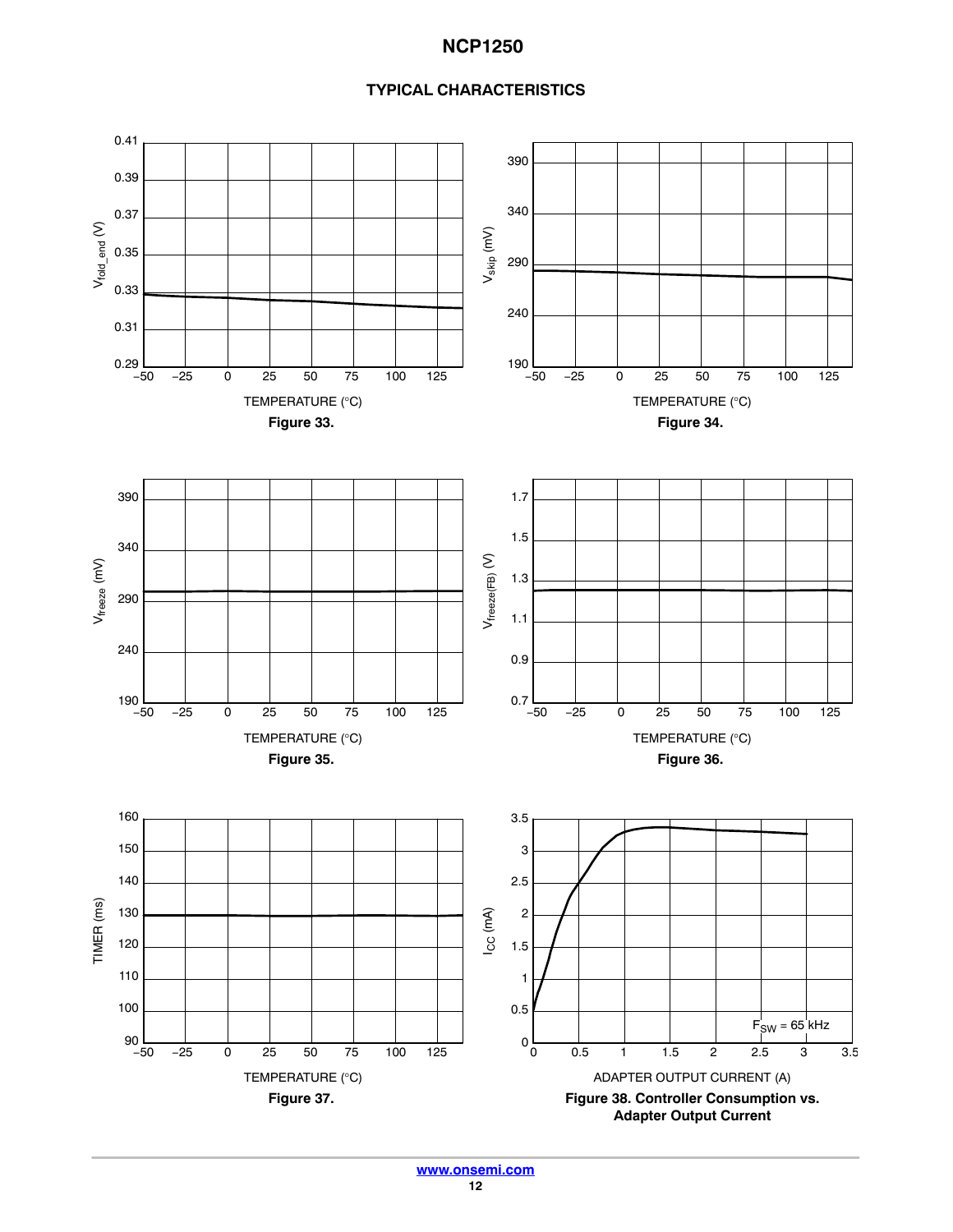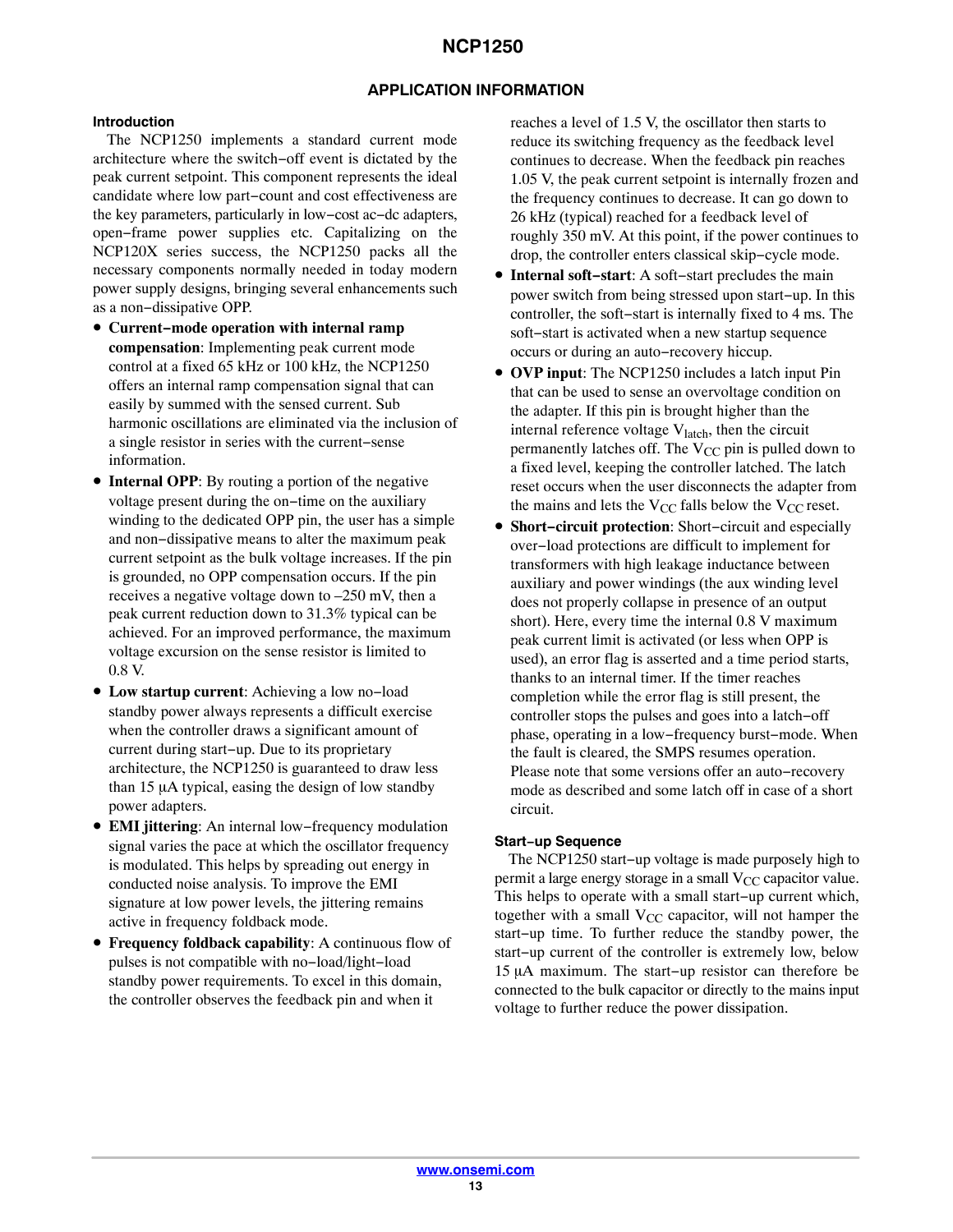### **APPLICATION INFORMATION**

#### **Introduction**

The NCP1250 implements a standard current mode architecture where the switch−off event is dictated by the peak current setpoint. This component represents the ideal candidate where low part−count and cost effectiveness are the key parameters, particularly in low−cost ac−dc adapters, open−frame power supplies etc. Capitalizing on the NCP120X series success, the NCP1250 packs all the necessary components normally needed in today modern power supply designs, bringing several enhancements such as a non−dissipative OPP.

- **Current−mode operation with internal ramp compensation**: Implementing peak current mode control at a fixed 65 kHz or 100 kHz, the NCP1250 offers an internal ramp compensation signal that can easily by summed with the sensed current. Sub harmonic oscillations are eliminated via the inclusion of a single resistor in series with the current−sense information.
- **Internal OPP**: By routing a portion of the negative voltage present during the on−time on the auxiliary winding to the dedicated OPP pin, the user has a simple and non−dissipative means to alter the maximum peak current setpoint as the bulk voltage increases. If the pin is grounded, no OPP compensation occurs. If the pin receives a negative voltage down to –250 mV, then a peak current reduction down to 31.3% typical can be achieved. For an improved performance, the maximum voltage excursion on the sense resistor is limited to 0.8 V.
- **Low startup current**: Achieving a low no−load standby power always represents a difficult exercise when the controller draws a significant amount of current during start−up. Due to its proprietary architecture, the NCP1250 is guaranteed to draw less than  $15 \mu A$  typical, easing the design of low standby power adapters.
- **EMI jittering**: An internal low−frequency modulation signal varies the pace at which the oscillator frequency is modulated. This helps by spreading out energy in conducted noise analysis. To improve the EMI signature at low power levels, the jittering remains active in frequency foldback mode.
- **Frequency foldback capability**: A continuous flow of pulses is not compatible with no−load/light−load standby power requirements. To excel in this domain, the controller observes the feedback pin and when it

reaches a level of 1.5 V, the oscillator then starts to reduce its switching frequency as the feedback level continues to decrease. When the feedback pin reaches 1.05 V, the peak current setpoint is internally frozen and the frequency continues to decrease. It can go down to 26 kHz (typical) reached for a feedback level of roughly 350 mV. At this point, if the power continues to drop, the controller enters classical skip−cycle mode.

- **Internal soft−start**: A soft−start precludes the main power switch from being stressed upon start−up. In this controller, the soft−start is internally fixed to 4 ms. The soft−start is activated when a new startup sequence occurs or during an auto−recovery hiccup.
- **OVP input**: The NCP1250 includes a latch input Pin that can be used to sense an overvoltage condition on the adapter. If this pin is brought higher than the internal reference voltage  $V<sub>latch</sub>$ , then the circuit permanently latches off. The  $V_{CC}$  pin is pulled down to a fixed level, keeping the controller latched. The latch reset occurs when the user disconnects the adapter from the mains and lets the  $V_{CC}$  falls below the  $V_{CC}$  reset.
- **Short−circuit protection**: Short−circuit and especially over−load protections are difficult to implement for transformers with high leakage inductance between auxiliary and power windings (the aux winding level does not properly collapse in presence of an output short). Here, every time the internal 0.8 V maximum peak current limit is activated (or less when OPP is used), an error flag is asserted and a time period starts, thanks to an internal timer. If the timer reaches completion while the error flag is still present, the controller stops the pulses and goes into a latch−off phase, operating in a low−frequency burst−mode. When the fault is cleared, the SMPS resumes operation. Please note that some versions offer an auto−recovery mode as described and some latch off in case of a short circuit.

### **Start−up Sequence**

The NCP1250 start−up voltage is made purposely high to permit a large energy storage in a small  $V_{CC}$  capacitor value. This helps to operate with a small start−up current which, together with a small  $V_{CC}$  capacitor, will not hamper the start−up time. To further reduce the standby power, the start−up current of the controller is extremely low, below 15 μA maximum. The start–up resistor can therefore be connected to the bulk capacitor or directly to the mains input voltage to further reduce the power dissipation.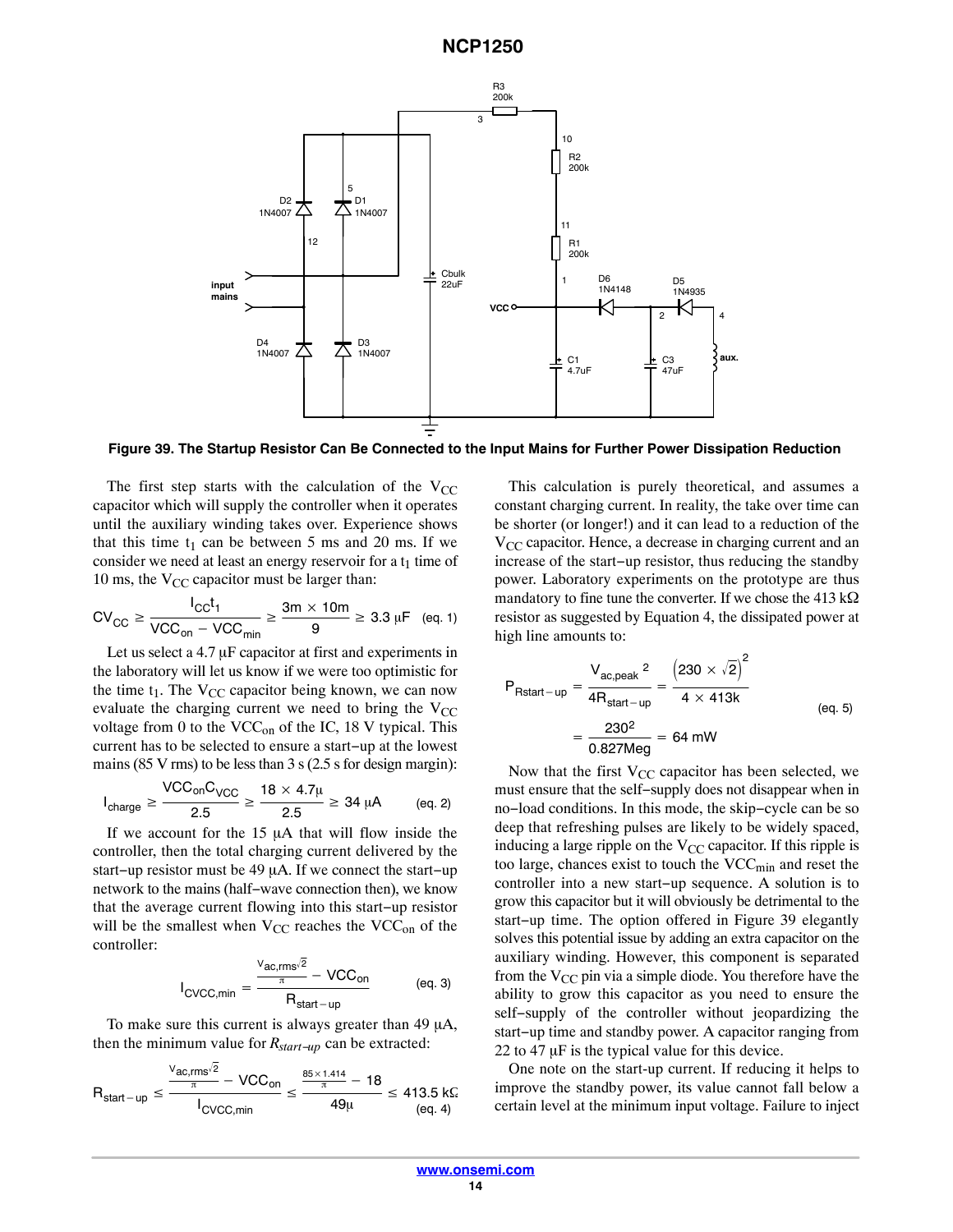

**Figure 39. The Startup Resistor Can Be Connected to the Input Mains for Further Power Dissipation Reduction**

The first step starts with the calculation of the  $V_{CC}$ capacitor which will supply the controller when it operates until the auxiliary winding takes over. Experience shows that this time  $t_1$  can be between 5 ms and 20 ms. If we consider we need at least an energy reservoir for a  $t_1$  time of 10 ms, the  $V_{CC}$  capacitor must be larger than:

$$
CV_{CC} \ge \frac{I_{CC}t_1}{VCC_{on} - VCC_{min}} \ge \frac{3m \times 10m}{9} \ge 3.3 \,\mu\text{F} \quad \text{(eq. 1)}
$$

Let us select a  $4.7 \mu$ F capacitor at first and experiments in the laboratory will let us know if we were too optimistic for the time  $t_1$ . The  $V_{CC}$  capacitor being known, we can now evaluate the charging current we need to bring the  $V_{CC}$ voltage from 0 to the  $VCC<sub>on</sub>$  of the IC, 18 V typical. This current has to be selected to ensure a start−up at the lowest mains (85 V rms) to be less than 3 s (2.5 s for design margin):

$$
I_{charge} \geq \frac{VCC_{on}C_{VCC}}{2.5} \geq \frac{18 \times 4.7\mu}{2.5} \geq 34 \mu A
$$
 (eq. 2)

If we account for the  $15 \mu A$  that will flow inside the controller, then the total charging current delivered by the start–up resistor must be 49 μA. If we connect the start–up network to the mains (half−wave connection then), we know that the average current flowing into this start−up resistor will be the smallest when  $V_{CC}$  reaches the  $VCC_{on}$  of the controller:

$$
I_{\text{CVCC,min}} = \frac{\frac{V_{\text{ac,rms}}/2}{\pi} - \text{VCC}_{\text{on}}}{R_{\text{start-up}}} \tag{eq. 3}
$$

To make sure this current is always greater than  $49 \mu A$ , then the minimum value for *Rstart−up* can be extracted:

$$
R_{start-up} \leq \frac{\frac{V_{ac,rms}/2}{\pi} - VCC_{on}}{I_{CVCC,min}} \leq \frac{\frac{85 \times 1.414}{\pi} - 18}{49\mu} \leq 413.5 \text{ kG}.
$$
\n  
\n(eq. 4)

This calculation is purely theoretical, and assumes a constant charging current. In reality, the take over time can be shorter (or longer!) and it can lead to a reduction of the  $V_{CC}$  capacitor. Hence, a decrease in charging current and an increase of the start−up resistor, thus reducing the standby power. Laboratory experiments on the prototype are thus mandatory to fine tune the converter. If we chose the 413 k $\Omega$ resistor as suggested by Equation 4, the dissipated power at high line amounts to:

$$
P_{Rstart-up} = \frac{V_{ac,peak}^{2}}{4R_{start-up}} = \frac{(230 \times \sqrt{2})^{2}}{4 \times 413k}
$$
  
=  $\frac{230^{2}}{0.827Meg} = 64 \text{ mW}$  (eq. 5)

Now that the first  $V_{CC}$  capacitor has been selected, we must ensure that the self−supply does not disappear when in no−load conditions. In this mode, the skip−cycle can be so deep that refreshing pulses are likely to be widely spaced, inducing a large ripple on the  $V_{CC}$  capacitor. If this ripple is too large, chances exist to touch the  $VCC_{min}$  and reset the controller into a new start−up sequence. A solution is to grow this capacitor but it will obviously be detrimental to the start−up time. The option offered in Figure 39 elegantly solves this potential issue by adding an extra capacitor on the auxiliary winding. However, this component is separated from the  $V_{CC}$  pin via a simple diode. You therefore have the ability to grow this capacitor as you need to ensure the self−supply of the controller without jeopardizing the start−up time and standby power. A capacitor ranging from 22 to 47  $\mu$ F is the typical value for this device.

One note on the start-up current. If reducing it helps to improve the standby power, its value cannot fall below a certain level at the minimum input voltage. Failure to inject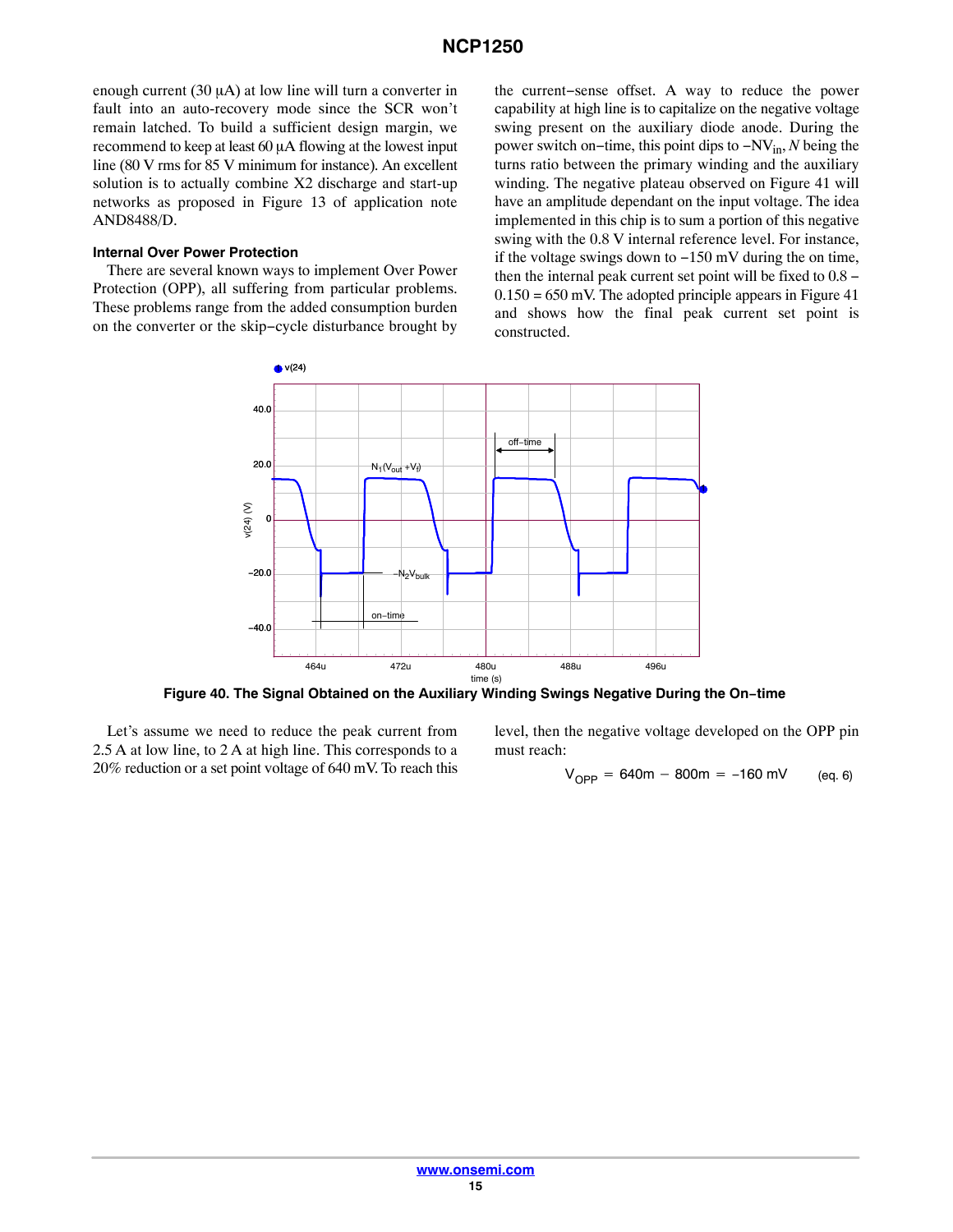<span id="page-14-0"></span>enough current  $(30 \mu A)$  at low line will turn a converter in fault into an auto-recovery mode since the SCR won't remain latched. To build a sufficient design margin, we recommend to keep at least  $60 \mu A$  flowing at the lowest input line (80 V rms for 85 V minimum for instance). An excellent solution is to actually combine X2 discharge and start-up networks as proposed in Figure 13 of application note AND8488/D.

#### **Internal Over Power Protection**

There are several known ways to implement Over Power Protection (OPP), all suffering from particular problems. These problems range from the added consumption burden on the converter or the skip−cycle disturbance brought by the current−sense offset. A way to reduce the power capability at high line is to capitalize on the negative voltage swing present on the auxiliary diode anode. During the power switch on−time, this point dips to −NVin, *N* being the turns ratio between the primary winding and the auxiliary winding. The negative plateau observed on Figure [41](#page-15-0) will have an amplitude dependant on the input voltage. The idea implemented in this chip is to sum a portion of this negative swing with the 0.8 V internal reference level. For instance, if the voltage swings down to −150 mV during the on time, then the internal peak current set point will be fixed to 0.8 −  $0.150 = 650$  mV. The adopted principle appears in Figure [41](#page-15-0) and shows how the final peak current set point is constructed.



**Figure 40. The Signal Obtained on the Auxiliary Winding Swings Negative During the On−time**

Let's assume we need to reduce the peak current from 2.5 A at low line, to 2 A at high line. This corresponds to a 20% reduction or a set point voltage of 640 mV. To reach this

level, then the negative voltage developed on the OPP pin must reach:

$$
V_{OPP} = 640m - 800m = -160 \, mV \qquad (eq. 6)
$$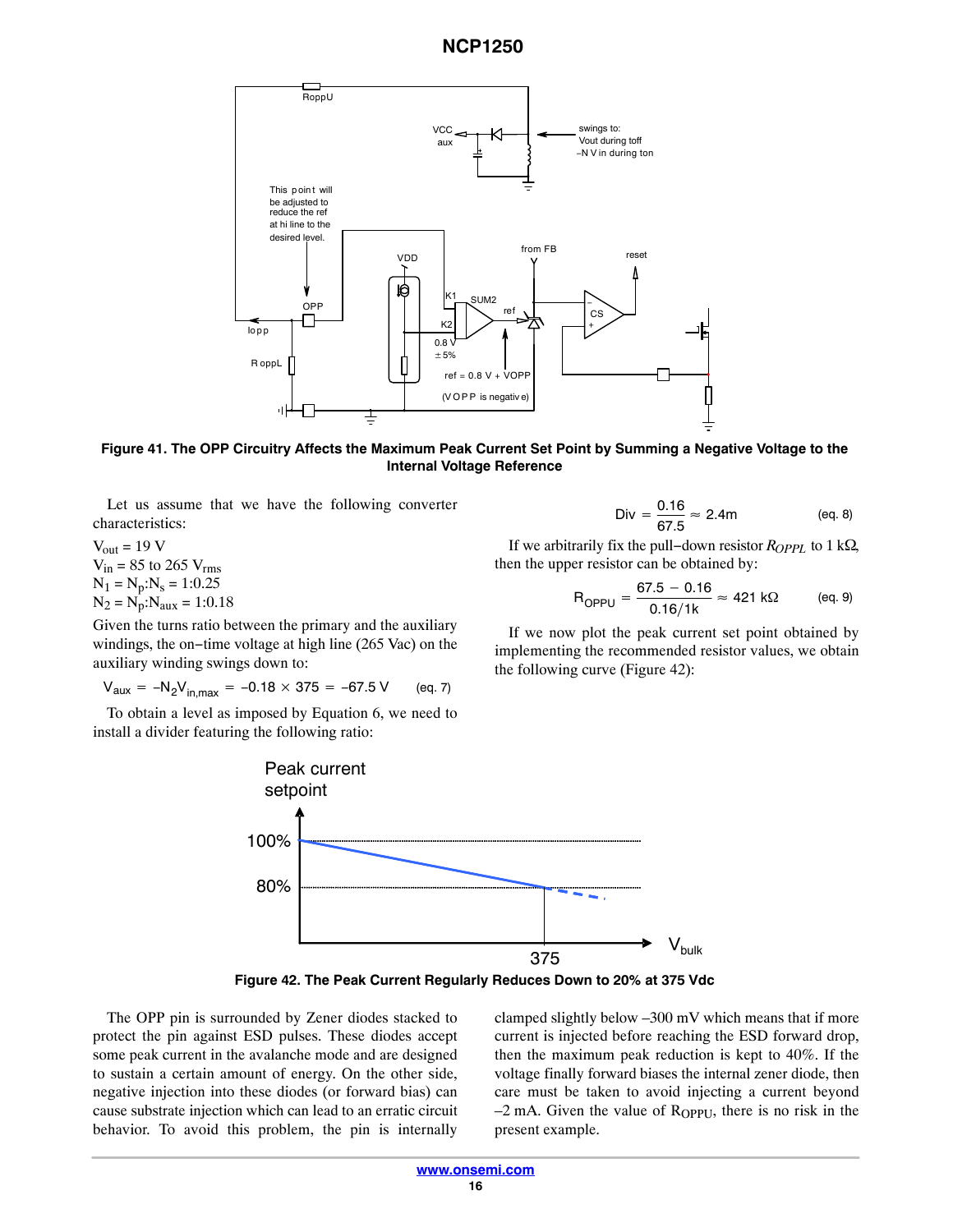<span id="page-15-0"></span>

**Figure 41. The OPP Circuitry Affects the Maximum Peak Current Set Point by Summing a Negative Voltage to the Internal Voltage Reference**

Let us assume that we have the following converter characteristics:

 $V_{out}$  = 19 V  $V_{in}$  = 85 to 265  $V_{rms}$  $N_1 = N_p:N_s = 1:0.25$  $N_2 = N_p : N_{aux} = 1:0.18$ 

Given the turns ratio between the primary and the auxiliary windings, the on−time voltage at high line (265 Vac) on the auxiliary winding swings down to:

$$
V_{aux} = -N_2 V_{in,max} = -0.18 \times 375 = -67.5 \text{ V} \qquad (eq. 7)
$$

To obtain a level as imposed by Equation [6](#page-14-0), we need to install a divider featuring the following ratio:



If we arbitrarily fix the pull–down resistor *R<sub>OPPL</sub>* to 1 kΩ, then the upper resistor can be obtained by:

$$
R_{OPPU} = \frac{67.5 - 0.16}{0.16/1k} \approx 421 \text{ k}\Omega \qquad \text{(eq. 9)}
$$

If we now plot the peak current set point obtained by implementing the recommended resistor values, we obtain the following curve (Figure 42):



**Figure 42. The Peak Current Regularly Reduces Down to 20% at 375 Vdc**

The OPP pin is surrounded by Zener diodes stacked to protect the pin against ESD pulses. These diodes accept some peak current in the avalanche mode and are designed to sustain a certain amount of energy. On the other side, negative injection into these diodes (or forward bias) can cause substrate injection which can lead to an erratic circuit behavior. To avoid this problem, the pin is internally

clamped slightly below –300 mV which means that if more current is injected before reaching the ESD forward drop, then the maximum peak reduction is kept to 40%. If the voltage finally forward biases the internal zener diode, then care must be taken to avoid injecting a current beyond  $-2$  mA. Given the value of  $R_{OPPU}$ , there is no risk in the present example.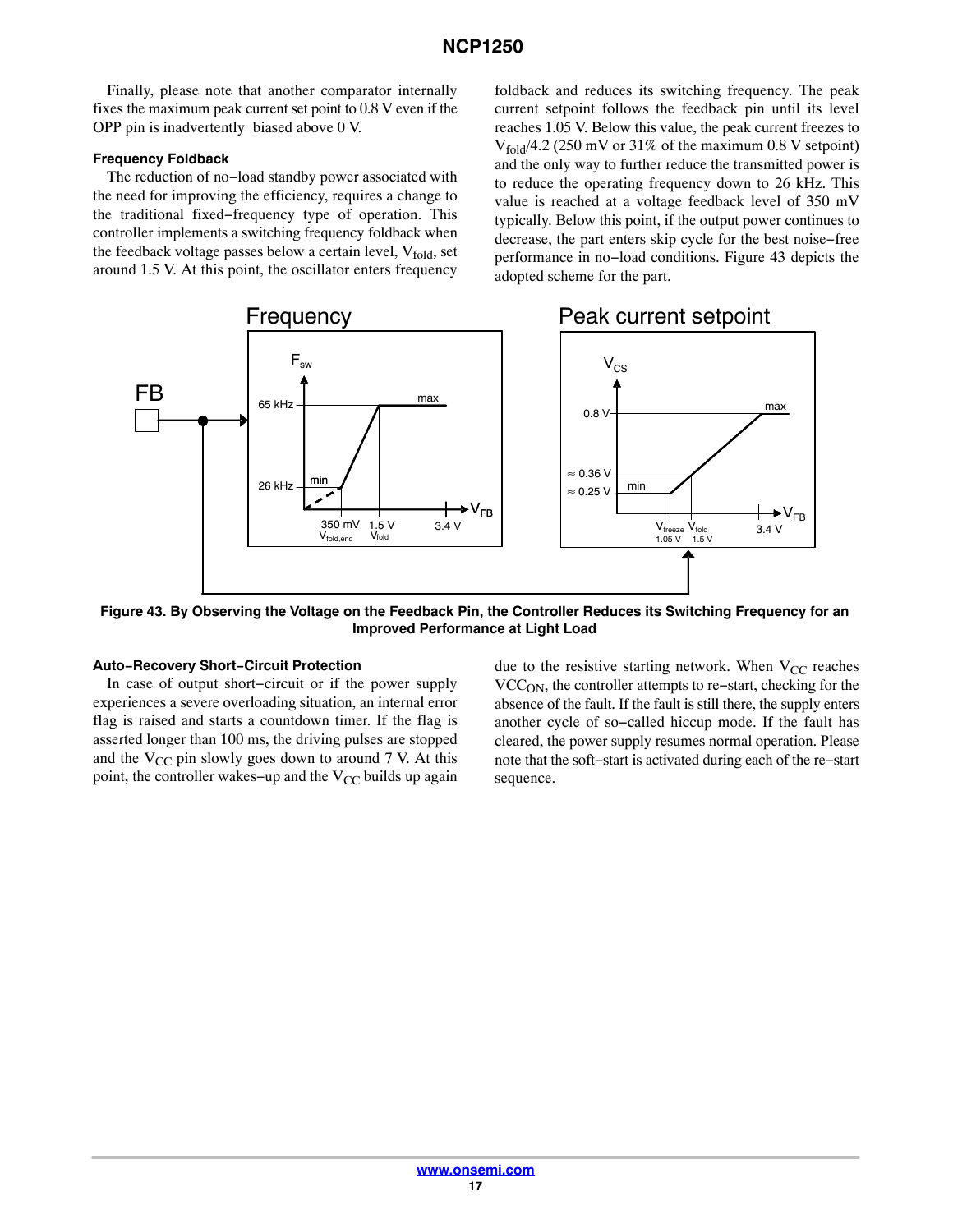Finally, please note that another comparator internally fixes the maximum peak current set point to 0.8 V even if the OPP pin is inadvertently biased above 0 V.

#### **Frequency Foldback**

The reduction of no−load standby power associated with the need for improving the efficiency, requires a change to the traditional fixed−frequency type of operation. This controller implements a switching frequency foldback when the feedback voltage passes below a certain level,  $V_{fold}$ , set around 1.5 V. At this point, the oscillator enters frequency

foldback and reduces its switching frequency. The peak current setpoint follows the feedback pin until its level reaches 1.05 V. Below this value, the peak current freezes to  $V_{\text{fold}}/4.2$  (250 mV or 31% of the maximum 0.8 V setpoint) and the only way to further reduce the transmitted power is to reduce the operating frequency down to 26 kHz. This value is reached at a voltage feedback level of 350 mV typically. Below this point, if the output power continues to decrease, the part enters skip cycle for the best noise−free performance in no−load conditions. Figure 43 depicts the adopted scheme for the part.



**Figure 43. By Observing the Voltage on the Feedback Pin, the Controller Reduces its Switching Frequency for an Improved Performance at Light Load**

### **Auto−Recovery Short−Circuit Protection**

In case of output short−circuit or if the power supply experiences a severe overloading situation, an internal error flag is raised and starts a countdown timer. If the flag is asserted longer than 100 ms, the driving pulses are stopped and the  $V_{CC}$  pin slowly goes down to around 7 V. At this point, the controller wakes–up and the V<sub>CC</sub> builds up again

due to the resistive starting network. When  $V_{CC}$  reaches VCCON, the controller attempts to re−start, checking for the absence of the fault. If the fault is still there, the supply enters another cycle of so−called hiccup mode. If the fault has cleared, the power supply resumes normal operation. Please note that the soft−start is activated during each of the re−start sequence.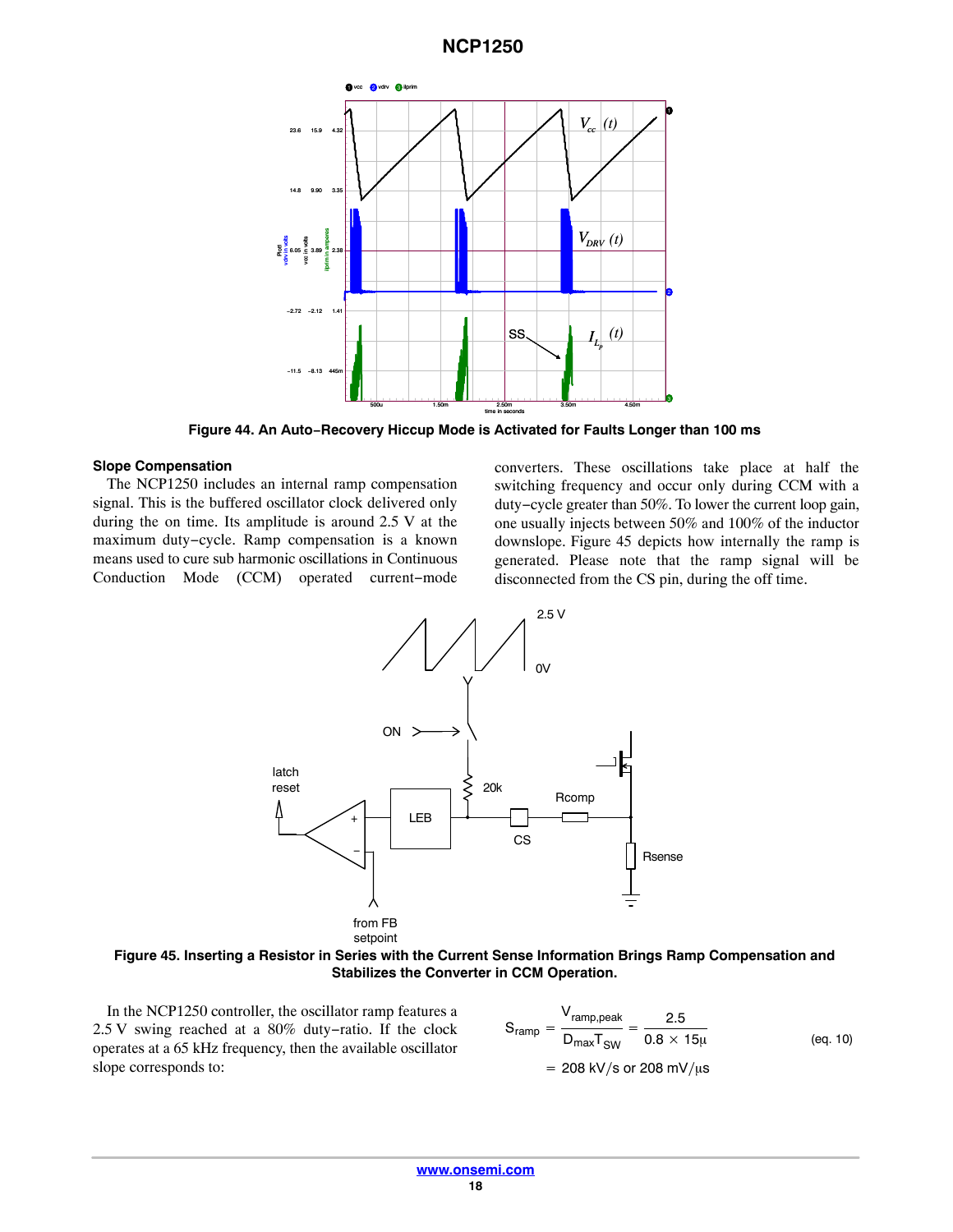

**Figure 44. An Auto−Recovery Hiccup Mode is Activated for Faults Longer than 100 ms**

#### **Slope Compensation**

The NCP1250 includes an internal ramp compensation signal. This is the buffered oscillator clock delivered only during the on time. Its amplitude is around 2.5 V at the maximum duty−cycle. Ramp compensation is a known means used to cure sub harmonic oscillations in Continuous Conduction Mode (CCM) operated current−mode converters. These oscillations take place at half the switching frequency and occur only during CCM with a duty−cycle greater than 50%. To lower the current loop gain, one usually injects between 50% and 100% of the inductor downslope. Figure 45 depicts how internally the ramp is generated. Please note that the ramp signal will be disconnected from the CS pin, during the off time.



**Figure 45. Inserting a Resistor in Series with the Current Sense Information Brings Ramp Compensation and Stabilizes the Converter in CCM Operation.**

In the NCP1250 controller, the oscillator ramp features a 2.5 V swing reached at a 80% duty−ratio. If the clock operates at a 65 kHz frequency, then the available oscillator slope corresponds to:

$$
S_{ramp} = \frac{V_{ramp,peak}}{D_{max}T_{SW}} = \frac{2.5}{0.8 \times 15\mu}
$$
 (eq. 10)  
= 208 kV/s or 208 mV/µs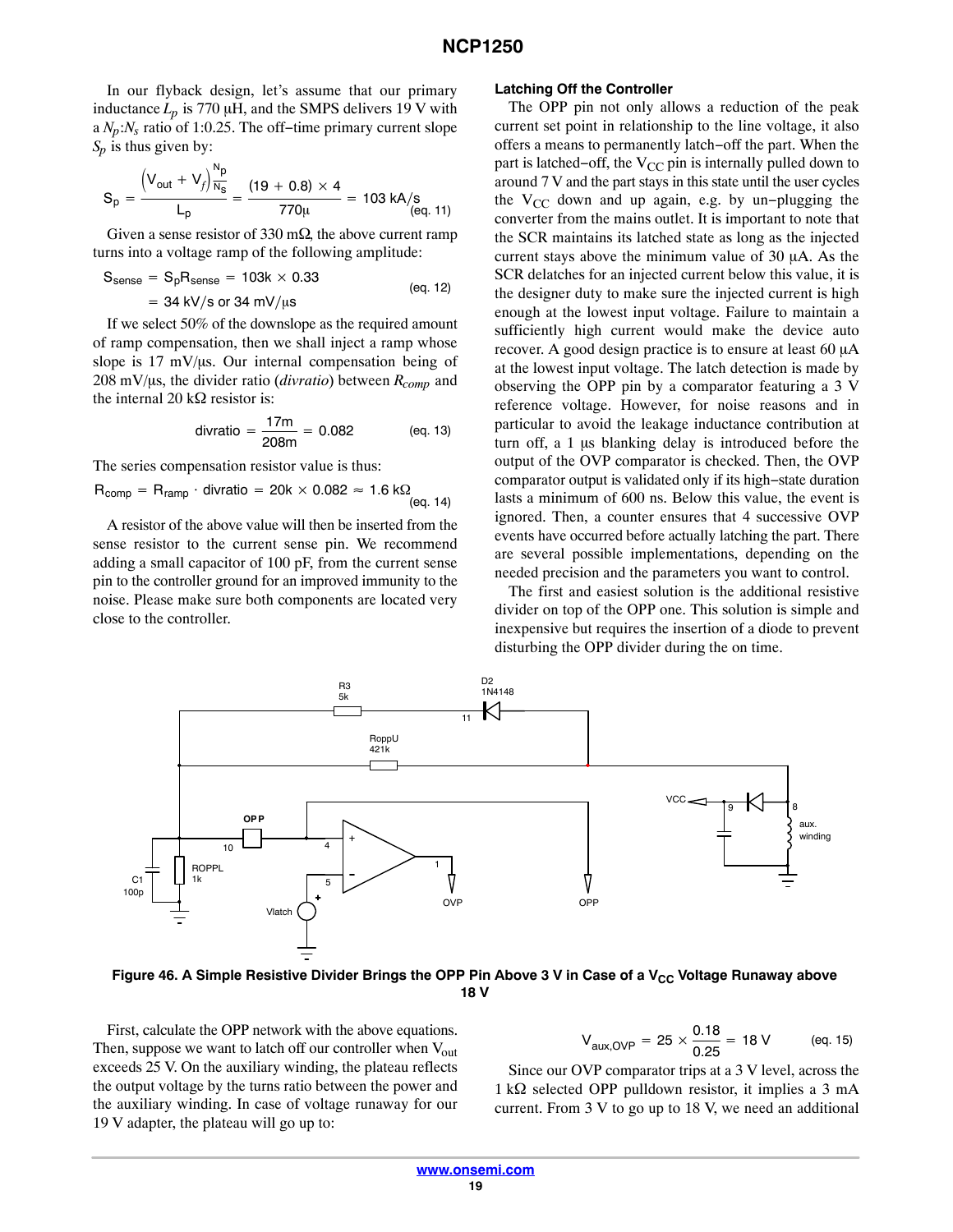<span id="page-18-0"></span>In our flyback design, let's assume that our primary inductance  $L_p$  is 770  $\mu$ H, and the SMPS delivers 19 V with a *Np*:*Ns* ratio of 1:0.25. The off−time primary current slope *Sp* is thus given by:

$$
S_p = \frac{\left(V_{out} + V_f\right) \frac{N_p}{N_s}}{L_p} = \frac{(19 + 0.8) \times 4}{770 \mu} = 103 \text{ kA/s} \tag{eq. 11}
$$

Given a sense resistor of 330 m $\Omega$ , the above current ramp turns into a voltage ramp of the following amplitude:

$$
S_{\text{sense}} = S_p R_{\text{sense}} = 103k \times 0.33
$$
  
= 34 kV/s or 34 mV/µs (eq. 12)

If we select 50% of the downslope as the required amount of ramp compensation, then we shall inject a ramp whose slope is  $17 \text{ mV/µs}$ . Our internal compensation being of  $208 \text{ mV/}\mu\text{s}$ , the divider ratio (*divratio*) between  $R_{comp}$  and the internal 20 k $\Omega$  resistor is:

divratio = 
$$
\frac{17m}{208m}
$$
 = 0.082 (eq. 13)

The series compensation resistor value is thus:

$$
R_{comp} = R_{ramp} \cdot \text{divratio} = 20k \times 0.082 \approx 1.6 \text{ k}\Omega
$$
\n
$$
\text{(eq. 14)}
$$

A resistor of the above value will then be inserted from the sense resistor to the current sense pin. We recommend adding a small capacitor of 100 pF, from the current sense pin to the controller ground for an improved immunity to the noise. Please make sure both components are located very close to the controller.

#### **Latching Off the Controller**

The OPP pin not only allows a reduction of the peak current set point in relationship to the line voltage, it also offers a means to permanently latch−off the part. When the part is latched–off, the V<sub>CC</sub> pin is internally pulled down to around 7 V and the part stays in this state until the user cycles the V<sub>CC</sub> down and up again, e.g. by un–plugging the converter from the mains outlet. It is important to note that the SCR maintains its latched state as long as the injected current stays above the minimum value of  $30 \mu A$ . As the SCR delatches for an injected current below this value, it is the designer duty to make sure the injected current is high enough at the lowest input voltage. Failure to maintain a sufficiently high current would make the device auto recover. A good design practice is to ensure at least 60 µA at the lowest input voltage. The latch detection is made by observing the OPP pin by a comparator featuring a 3 V reference voltage. However, for noise reasons and in particular to avoid the leakage inductance contribution at turn off, a  $1 \mu s$  blanking delay is introduced before the output of the OVP comparator is checked. Then, the OVP comparator output is validated only if its high−state duration lasts a minimum of 600 ns. Below this value, the event is ignored. Then, a counter ensures that 4 successive OVP events have occurred before actually latching the part. There are several possible implementations, depending on the needed precision and the parameters you want to control.

The first and easiest solution is the additional resistive divider on top of the OPP one. This solution is simple and inexpensive but requires the insertion of a diode to prevent disturbing the OPP divider during the on time.



Figure 46. A Simple Resistive Divider Brings the OPP Pin Above 3 V in Case of a V<sub>CC</sub> Voltage Runaway above **18 V**

First, calculate the OPP network with the above equations. Then, suppose we want to latch off our controller when  $V_{out}$ exceeds 25 V. On the auxiliary winding, the plateau reflects the output voltage by the turns ratio between the power and the auxiliary winding. In case of voltage runaway for our 19 V adapter, the plateau will go up to:

$$
V_{\text{aux, OVP}} = 25 \times \frac{0.18}{0.25} = 18 \text{ V} \qquad \text{(eq. 15)}
$$

Since our OVP comparator trips at a 3 V level, across the  $1 \text{ k}\Omega$  selected OPP pulldown resistor, it implies a 3 mA current. From 3 V to go up to 18 V, we need an additional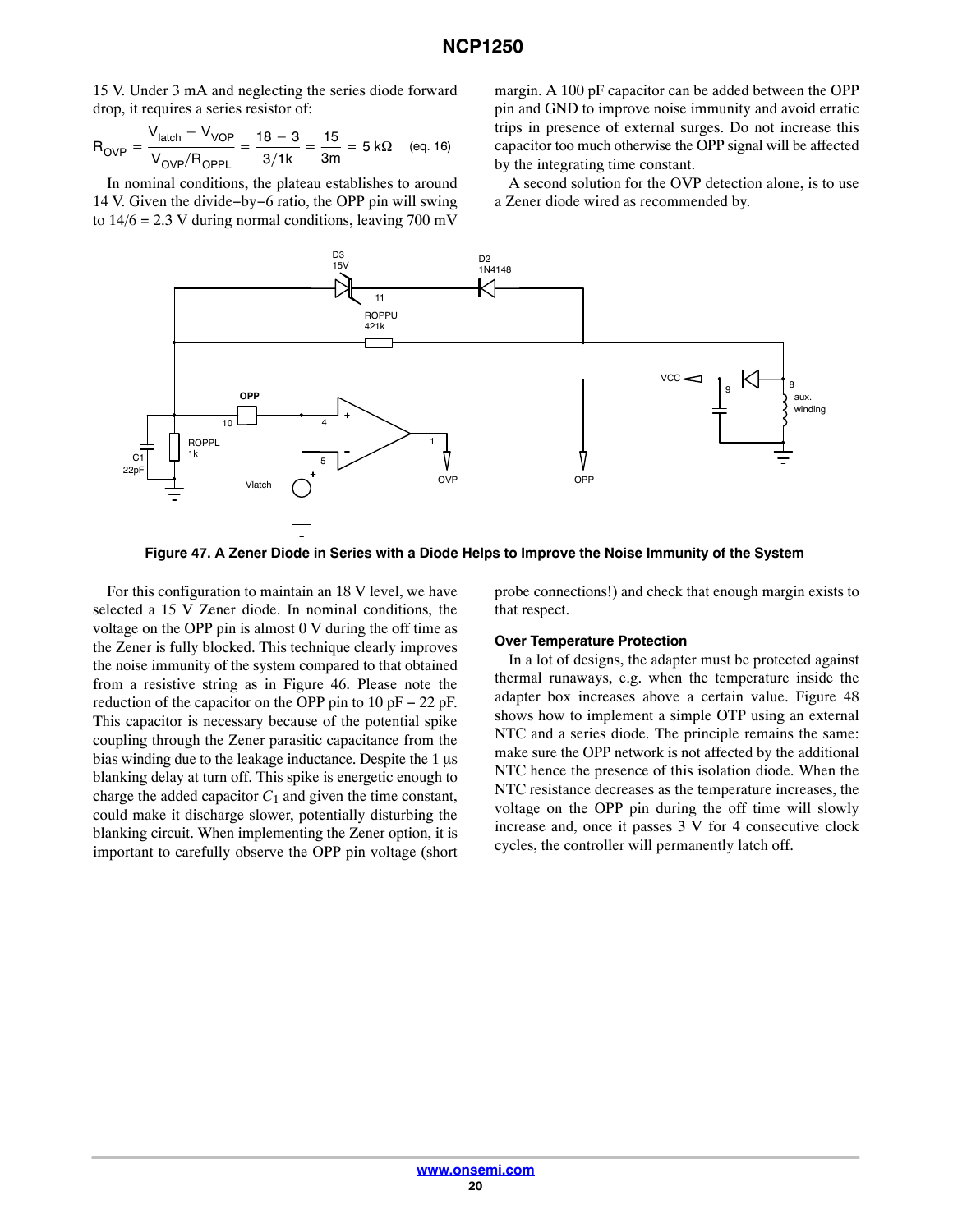15 V. Under 3 mA and neglecting the series diode forward drop, it requires a series resistor of:

$$
R_{\text{OVP}} = \frac{V_{\text{latch}} - V_{\text{VOP}}}{V_{\text{OVP}}/R_{\text{OPPL}}} = \frac{18 - 3}{3/1k} = \frac{15}{3m} = 5 \text{ k}\Omega \quad \text{(eq. 16)}
$$

In nominal conditions, the plateau establishes to around 14 V. Given the divide−by−6 ratio, the OPP pin will swing to  $14/6 = 2.3$  V during normal conditions, leaving 700 mV

margin. A 100 pF capacitor can be added between the OPP pin and GND to improve noise immunity and avoid erratic trips in presence of external surges. Do not increase this capacitor too much otherwise the OPP signal will be affected by the integrating time constant.

A second solution for the OVP detection alone, is to use a Zener diode wired as recommended by.



**Figure 47. A Zener Diode in Series with a Diode Helps to Improve the Noise Immunity of the System**

For this configuration to maintain an 18 V level, we have selected a 15 V Zener diode. In nominal conditions, the voltage on the OPP pin is almost 0 V during the off time as the Zener is fully blocked. This technique clearly improves the noise immunity of the system compared to that obtained from a resistive string as in Figure [46.](#page-18-0) Please note the reduction of the capacitor on the OPP pin to 10 pF − 22 pF. This capacitor is necessary because of the potential spike coupling through the Zener parasitic capacitance from the bias winding due to the leakage inductance. Despite the  $1 \mu s$ blanking delay at turn off. This spike is energetic enough to charge the added capacitor  $C_1$  and given the time constant, could make it discharge slower, potentially disturbing the blanking circuit. When implementing the Zener option, it is important to carefully observe the OPP pin voltage (short probe connections!) and check that enough margin exists to that respect.

#### **Over Temperature Protection**

In a lot of designs, the adapter must be protected against thermal runaways, e.g. when the temperature inside the adapter box increases above a certain value. Figure [48](#page-20-0) shows how to implement a simple OTP using an external NTC and a series diode. The principle remains the same: make sure the OPP network is not affected by the additional NTC hence the presence of this isolation diode. When the NTC resistance decreases as the temperature increases, the voltage on the OPP pin during the off time will slowly increase and, once it passes 3 V for 4 consecutive clock cycles, the controller will permanently latch off.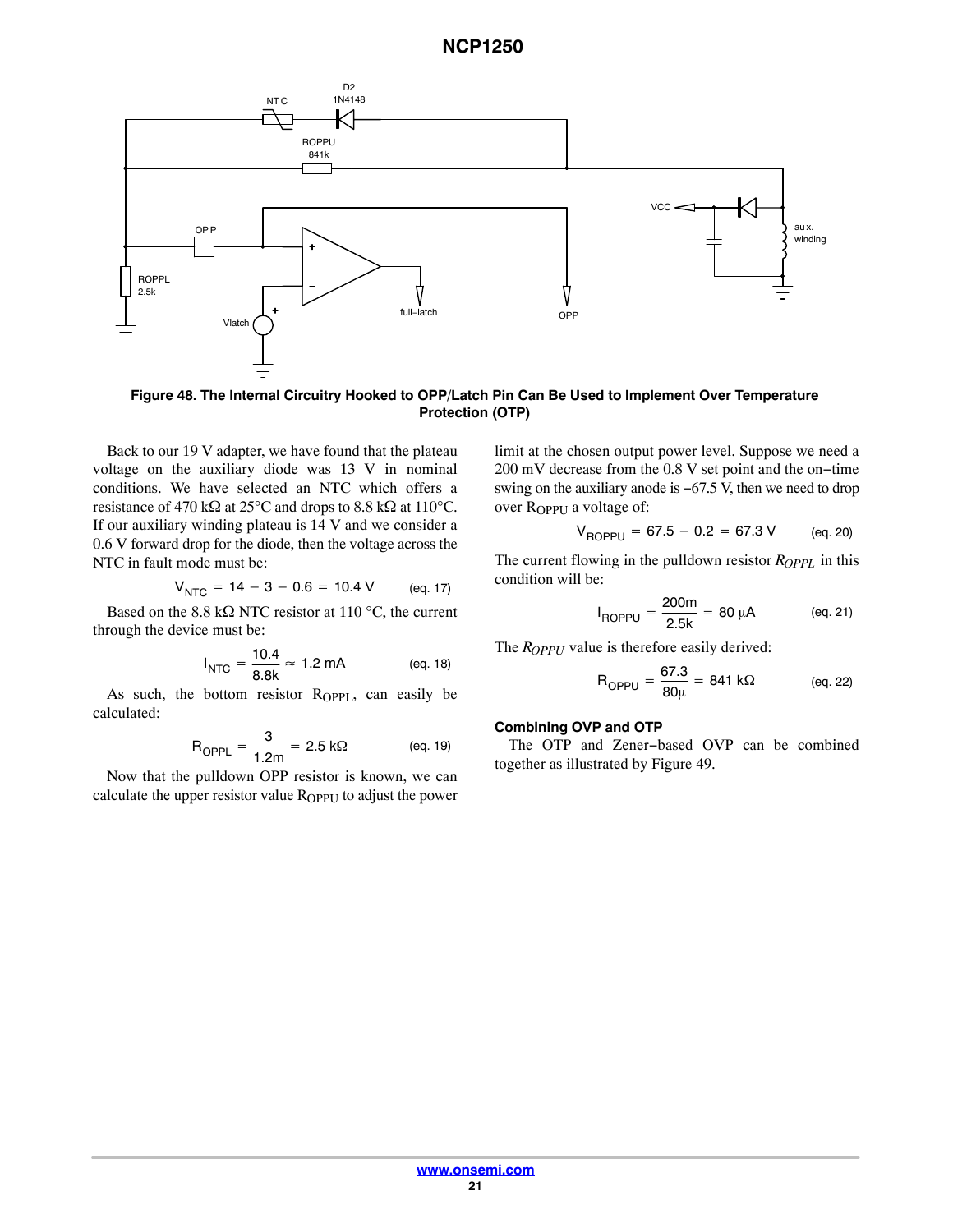<span id="page-20-0"></span>

**Figure 48. The Internal Circuitry Hooked to OPP/Latch Pin Can Be Used to Implement Over Temperature Protection (OTP)**

Back to our 19 V adapter, we have found that the plateau voltage on the auxiliary diode was 13 V in nominal conditions. We have selected an NTC which offers a resistance of 470 k $\Omega$  at 25°C and drops to 8.8 k $\Omega$  at 110°C. If our auxiliary winding plateau is 14 V and we consider a 0.6 V forward drop for the diode, then the voltage across the NTC in fault mode must be:

$$
V_{\text{NTC}} = 14 - 3 - 0.6 = 10.4 \text{ V} \qquad \text{(eq. 17)}
$$

Based on the 8.8 k $\Omega$  NTC resistor at 110 °C, the current through the device must be:

$$
I_{\text{NTC}} = \frac{10.4}{8.8 \text{k}} \approx 1.2 \text{ mA}
$$
 (eq. 18)

As such, the bottom resistor  $R_{OPPL}$ , can easily be calculated:

$$
R_{OPPL} = \frac{3}{1.2m} = 2.5 \text{ k}\Omega \qquad \text{(eq. 19)}
$$

Now that the pulldown OPP resistor is known, we can calculate the upper resistor value R<sub>OPPU</sub> to adjust the power limit at the chosen output power level. Suppose we need a 200 mV decrease from the 0.8 V set point and the on−time swing on the auxiliary anode is −67.5 V, then we need to drop over R<sub>OPPU</sub> a voltage of:

$$
V_{\text{ROPPU}} = 67.5 - 0.2 = 67.3 \text{ V} \qquad \text{(eq. 20)}
$$

The current flowing in the pulldown resistor  $R_{OPPL}$  in this condition will be:

$$
I_{\text{ROPPU}} = \frac{200\text{m}}{2.5\text{k}} = 80 \text{ }\mu\text{A} \tag{eq.21}
$$

The *R<sub>OPPU</sub>* value is therefore easily derived:

$$
R_{OPPU} = \frac{67.3}{80\mu} = 841 \text{ k}\Omega \qquad \text{(eq. 22)}
$$

#### **Combining OVP and OTP**

The OTP and Zener−based OVP can be combined together as illustrated by Figure [49](#page-21-0).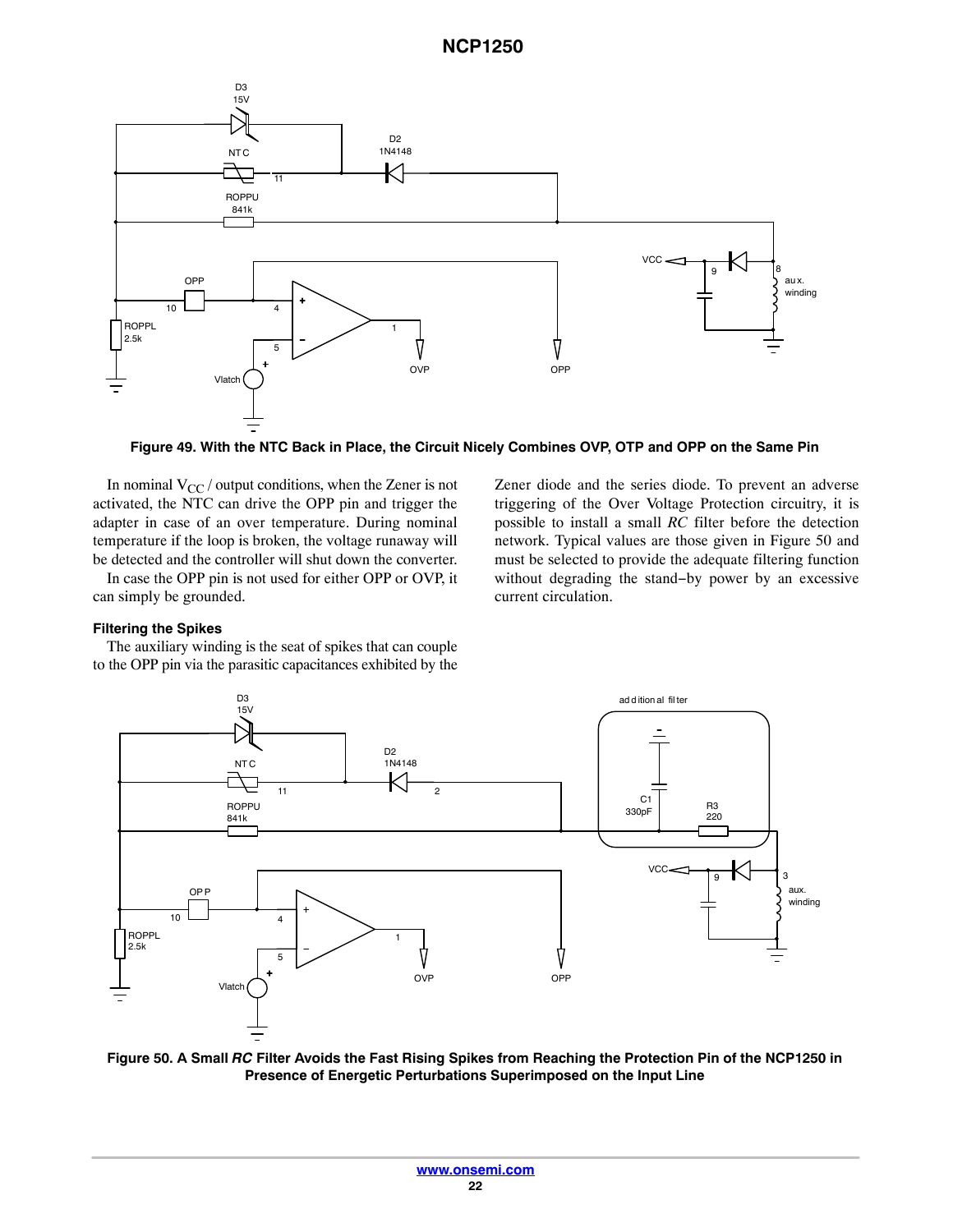<span id="page-21-0"></span>

**Figure 49. With the NTC Back in Place, the Circuit Nicely Combines OVP, OTP and OPP on the Same Pin**

In nominal  $V_{CC}$  / output conditions, when the Zener is not activated, the NTC can drive the OPP pin and trigger the adapter in case of an over temperature. During nominal temperature if the loop is broken, the voltage runaway will be detected and the controller will shut down the converter.

In case the OPP pin is not used for either OPP or OVP, it can simply be grounded.

### **Filtering the Spikes**

The auxiliary winding is the seat of spikes that can couple to the OPP pin via the parasitic capacitances exhibited by the





**Figure 50. A Small** *RC* **Filter Avoids the Fast Rising Spikes from Reaching the Protection Pin of the NCP1250 in Presence of Energetic Perturbations Superimposed on the Input Line**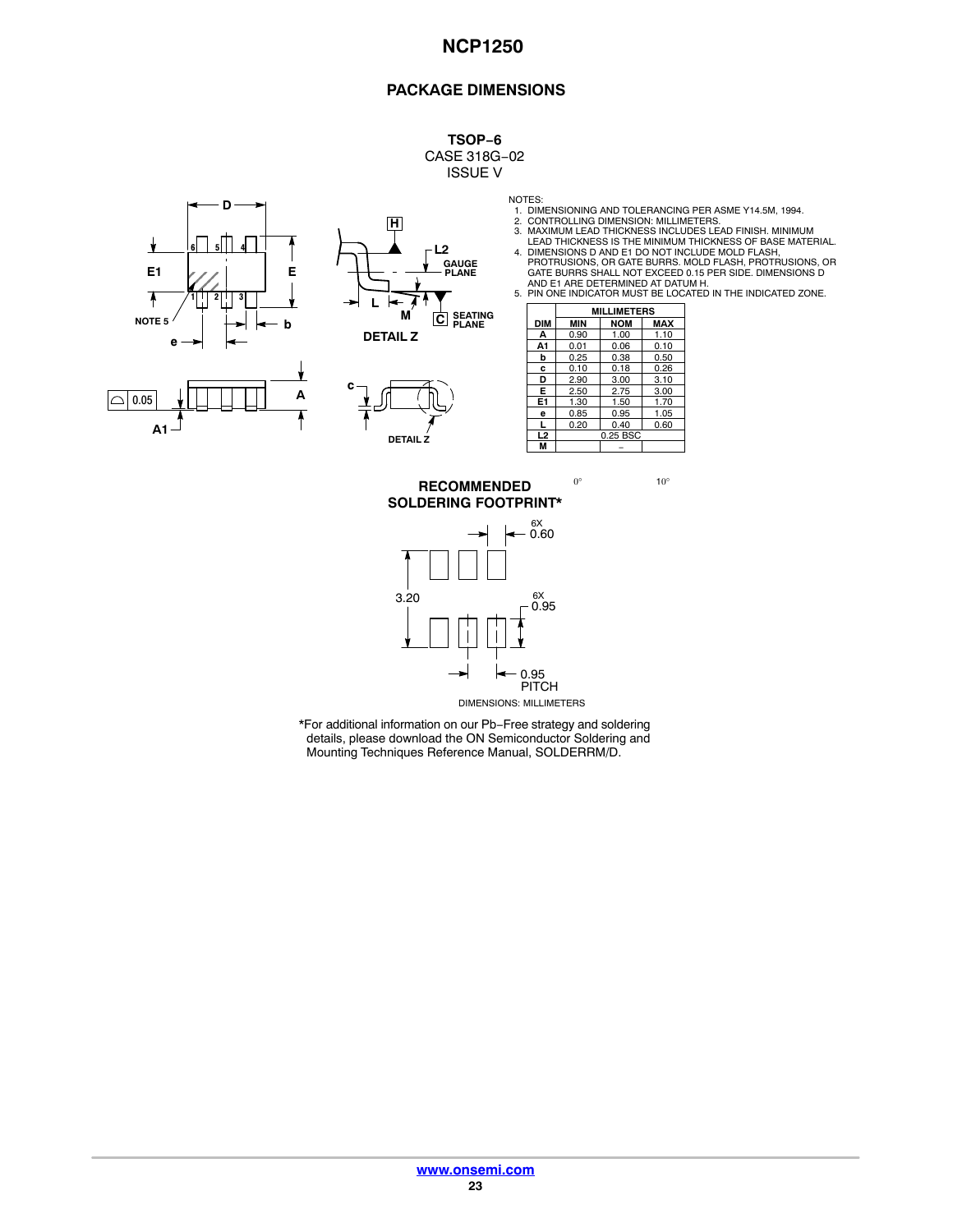#### **PACKAGE DIMENSIONS**

**TSOP−6** CASE 318G−02 ISSUE V







- 
- 
- 
- NOTES:<br>
1. DIMENSIONING AND TOLERANCING PER ASME Y14.5M, 1994.<br>
2. CONTROLLING DIMENSION: MILLIMETERS.<br>
3. MAXIMUM LEAD THICKNESS INCLUDES LEAD FINISH. MINIMUM<br>
LEAD THICKNESS IS THE MINIMUM THICKNESS OF BASE MATERIAL.<br>
4.

|                | <b>MILLIMETERS</b> |            |            |  |
|----------------|--------------------|------------|------------|--|
| DIM            | <b>MIN</b>         | <b>NOM</b> | <b>MAX</b> |  |
| A              | 0.90               | 1.00       | 1.10       |  |
| A1             | 0.01               | 0.06       | 0.10       |  |
| b              | 0.25               | 0.38       | 0.50       |  |
| c              | 0.10               | 0.18       | 0.26       |  |
| D              | 2.90               | 3.00       | 3.10       |  |
| F              | 2.50               | 2.75       | 3.00       |  |
| E1             | 1.30               | 1.50       | 1.70       |  |
| e              | 0.85               | 0.95       | 1.05       |  |
| L              | 0.20               | 0.40       | 0.60       |  |
| L <sub>2</sub> | 0.25 BSC           |            |            |  |
| М              |                    |            |            |  |

**SOLDERING FOOTPRINT\***  $0^\circ$  10° **RECOMMENDED**



\*For additional information on our Pb−Free strategy and soldering details, please download the ON Semiconductor Soldering and Mounting Techniques Reference Manual, SOLDERRM/D.